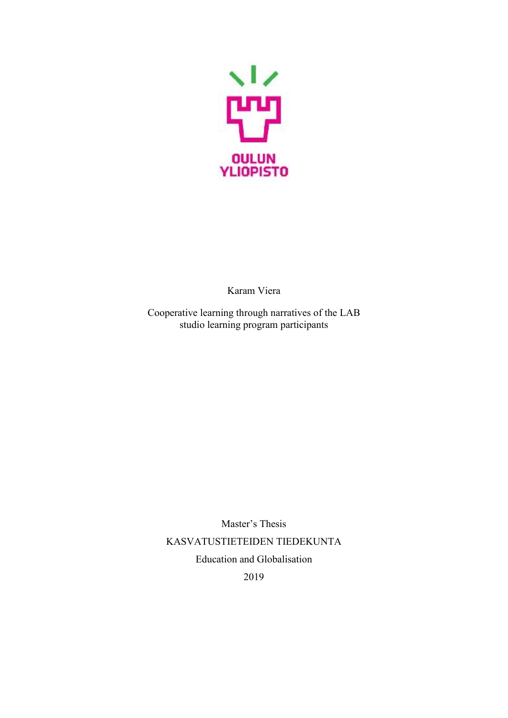

Karam Viera

Cooperative learning through narratives of the LAB studio learning program participants

Master's Thesis KASVATUSTIETEIDEN TIEDEKUNTA Education and Globalisation 2019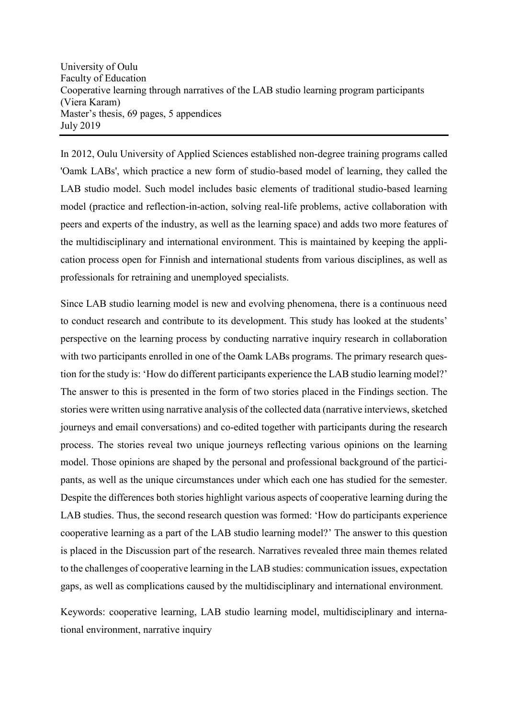In 2012, Oulu University of Applied Sciences established non-degree training programs called 'Oamk LABs', which practice a new form of studio-based model of learning, they called the LAB studio model. Such model includes basic elements of traditional studio-based learning model (practice and reflection-in-action, solving real-life problems, active collaboration with peers and experts of the industry, as well as the learning space) and adds two more features of the multidisciplinary and international environment. This is maintained by keeping the application process open for Finnish and international students from various disciplines, as well as professionals for retraining and unemployed specialists.

Since LAB studio learning model is new and evolving phenomena, there is a continuous need to conduct research and contribute to its development. This study has looked at the students' perspective on the learning process by conducting narrative inquiry research in collaboration with two participants enrolled in one of the Oamk LABs programs. The primary research question for the study is: 'How do different participants experience the LAB studio learning model?' The answer to this is presented in the form of two stories placed in the Findings section. The stories were written using narrative analysis of the collected data (narrative interviews, sketched journeys and email conversations) and co-edited together with participants during the research process. The stories reveal two unique journeys reflecting various opinions on the learning model. Those opinions are shaped by the personal and professional background of the participants, as well as the unique circumstances under which each one has studied for the semester. Despite the differences both stories highlight various aspects of cooperative learning during the LAB studies. Thus, the second research question was formed: 'How do participants experience cooperative learning as a part of the LAB studio learning model?' The answer to this question is placed in the Discussion part of the research. Narratives revealed three main themes related to the challenges of cooperative learning in the LAB studies: communication issues, expectation gaps, as well as complications caused by the multidisciplinary and international environment*.* 

Keywords: cooperative learning, LAB studio learning model, multidisciplinary and international environment, narrative inquiry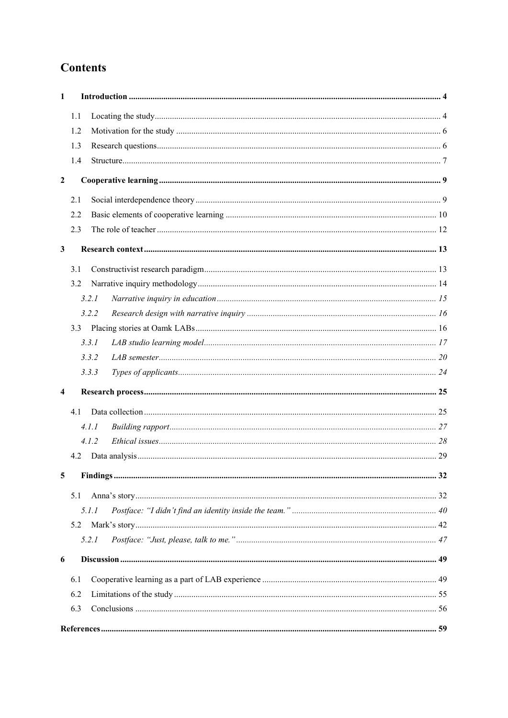# **Contents**

| 1                       |              |  |  |  |
|-------------------------|--------------|--|--|--|
|                         | 1.1          |  |  |  |
|                         | 1.2          |  |  |  |
|                         | 1.3          |  |  |  |
|                         | 1.4          |  |  |  |
| $\boldsymbol{2}$        |              |  |  |  |
|                         | 2.1          |  |  |  |
|                         | 2.2          |  |  |  |
|                         | 2.3          |  |  |  |
| $\mathbf{3}$            |              |  |  |  |
|                         | 3.1          |  |  |  |
|                         | 3.2          |  |  |  |
|                         | 3.2.1        |  |  |  |
|                         | 3.2.2        |  |  |  |
|                         | 3.3          |  |  |  |
|                         | 3.3.1        |  |  |  |
|                         | 3.3.2        |  |  |  |
|                         | 3.3.3        |  |  |  |
| $\overline{\mathbf{4}}$ |              |  |  |  |
|                         | 4.1          |  |  |  |
|                         | 4.1.1        |  |  |  |
|                         | 4.1.2        |  |  |  |
|                         | 4.2          |  |  |  |
| 5                       | $\mathbf{r}$ |  |  |  |
|                         | 5.1          |  |  |  |
|                         | 5.1.1        |  |  |  |
|                         | 5.2          |  |  |  |
|                         | 5.2.1        |  |  |  |
| 6                       |              |  |  |  |
|                         | 6.1          |  |  |  |
|                         | 6.2          |  |  |  |
|                         | 6.3          |  |  |  |
|                         |              |  |  |  |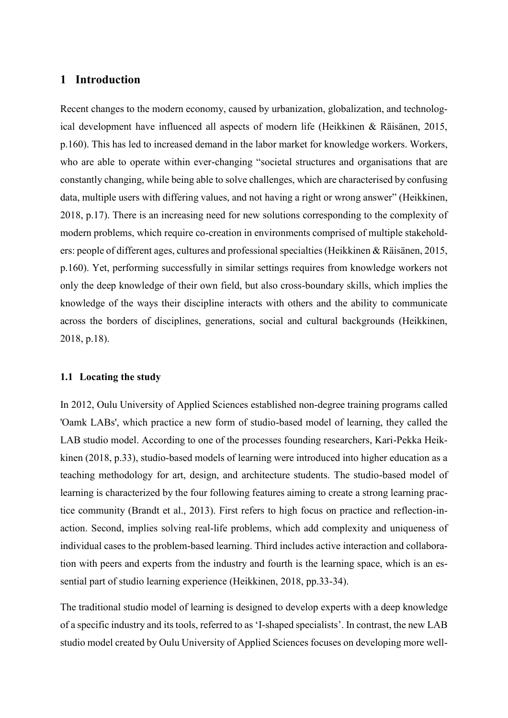## <span id="page-3-0"></span>**1 Introduction**

Recent changes to the modern economy, caused by urbanization, globalization, and technological development have influenced all aspects of modern life (Heikkinen & Räisänen, 2015, p.160). This has led to increased demand in the labor market for knowledge workers. Workers, who are able to operate within ever-changing "societal structures and organisations that are constantly changing, while being able to solve challenges, which are characterised by confusing data, multiple users with differing values, and not having a right or wrong answer" (Heikkinen, 2018, p.17). There is an increasing need for new solutions corresponding to the complexity of modern problems, which require co-creation in environments comprised of multiple stakeholders: people of different ages, cultures and professional specialties (Heikkinen & Räisänen, 2015, p.160). Yet, performing successfully in similar settings requires from knowledge workers not only the deep knowledge of their own field, but also cross-boundary skills, which implies the knowledge of the ways their discipline interacts with others and the ability to communicate across the borders of disciplines, generations, social and cultural backgrounds (Heikkinen, 2018, p.18).

## <span id="page-3-1"></span>**1.1 Locating the study**

In 2012, Oulu University of Applied Sciences established non-degree training programs called 'Oamk LABs', which practice a new form of studio-based model of learning, they called the LAB studio model. According to one of the processes founding researchers, Kari-Pekka Heikkinen (2018, p.33), studio-based models of learning were introduced into higher education as a teaching methodology for art, design, and architecture students. The studio-based model of learning is characterized by the four following features aiming to create a strong learning practice community (Brandt et al., 2013). First refers to high focus on practice and reflection-inaction. Second, implies solving real-life problems, which add complexity and uniqueness of individual cases to the problem-based learning. Third includes active interaction and collaboration with peers and experts from the industry and fourth is the learning space, which is an essential part of studio learning experience (Heikkinen, 2018, pp.33-34).

The traditional studio model of learning is designed to develop experts with a deep knowledge of a specific industry and its tools, referred to as 'I-shaped specialists'. In contrast, the new LAB studio model created by Oulu University of Applied Sciences focuses on developing more well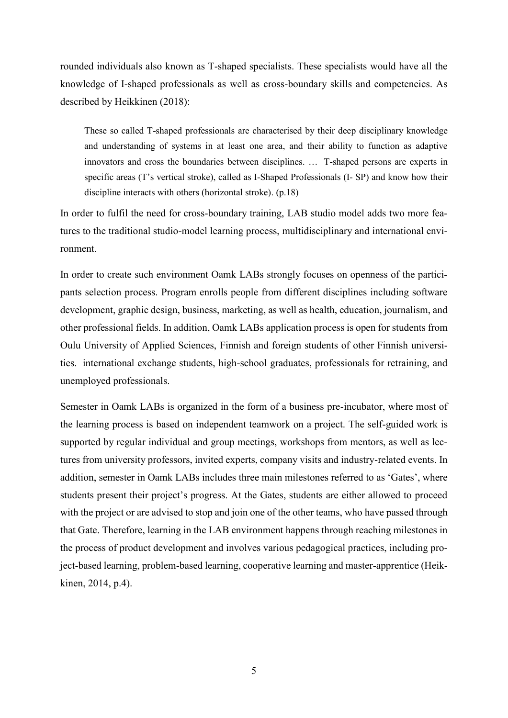rounded individuals also known as T-shaped specialists. These specialists would have all the knowledge of I-shaped professionals as well as cross-boundary skills and competencies. As described by Heikkinen (2018):

These so called T-shaped professionals are characterised by their deep disciplinary knowledge and understanding of systems in at least one area, and their ability to function as adaptive innovators and cross the boundaries between disciplines. … T-shaped persons are experts in specific areas (T's vertical stroke), called as I-Shaped Professionals (I- SP) and know how their discipline interacts with others (horizontal stroke). (p.18)

In order to fulfil the need for cross-boundary training, LAB studio model adds two more features to the traditional studio-model learning process, multidisciplinary and international environment.

In order to create such environment Oamk LABs strongly focuses on openness of the participants selection process. Program enrolls people from different disciplines including software development, graphic design, business, marketing, as well as health, education, journalism, and other professional fields. In addition, Oamk LABs application process is open for students from Oulu University of Applied Sciences, Finnish and foreign students of other Finnish universities. international exchange students, high-school graduates, professionals for retraining, and unemployed professionals.

Semester in Oamk LABs is organized in the form of a business pre-incubator, where most of the learning process is based on independent teamwork on a project. The self-guided work is supported by regular individual and group meetings, workshops from mentors, as well as lectures from university professors, invited experts, company visits and industry-related events. In addition, semester in Oamk LABs includes three main milestones referred to as 'Gates', where students present their project's progress. At the Gates, students are either allowed to proceed with the project or are advised to stop and join one of the other teams, who have passed through that Gate. Therefore, learning in the LAB environment happens through reaching milestones in the process of product development and involves various pedagogical practices, including project-based learning, problem-based learning, cooperative learning and master-apprentice (Heikkinen, 2014, p.4).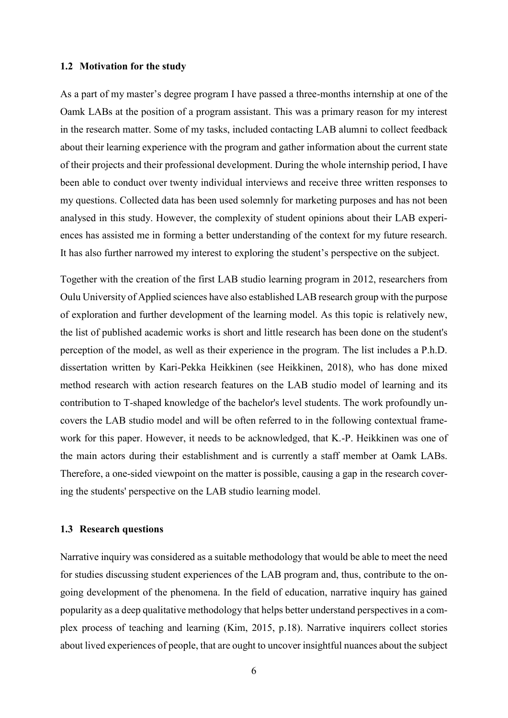#### <span id="page-5-0"></span>**1.2 Motivation for the study**

As a part of my master's degree program I have passed a three-months internship at one of the Oamk LABs at the position of a program assistant. This was a primary reason for my interest in the research matter. Some of my tasks, included contacting LAB alumni to collect feedback about their learning experience with the program and gather information about the current state of their projects and their professional development. During the whole internship period, I have been able to conduct over twenty individual interviews and receive three written responses to my questions. Collected data has been used solemnly for marketing purposes and has not been analysed in this study. However, the complexity of student opinions about their LAB experiences has assisted me in forming a better understanding of the context for my future research. It has also further narrowed my interest to exploring the student's perspective on the subject.

Together with the creation of the first LAB studio learning program in 2012, researchers from Oulu University of Applied sciences have also established LAB research group with the purpose of exploration and further development of the learning model. As this topic is relatively new, the list of published academic works is short and little research has been done on the student's perception of the model, as well as their experience in the program. The list includes a P.h.D. dissertation written by Kari-Pekka Heikkinen (see Heikkinen, 2018), who has done mixed method research with action research features on the LAB studio model of learning and its contribution to T-shaped knowledge of the bachelor's level students. The work profoundly uncovers the LAB studio model and will be often referred to in the following contextual framework for this paper. However, it needs to be acknowledged, that K.-P. Heikkinen was one of the main actors during their establishment and is currently a staff member at Oamk LABs. Therefore, a one-sided viewpoint on the matter is possible, causing a gap in the research covering the students' perspective on the LAB studio learning model.

#### <span id="page-5-1"></span>**1.3 Research questions**

Narrative inquiry was considered as a suitable methodology that would be able to meet the need for studies discussing student experiences of the LAB program and, thus, contribute to the ongoing development of the phenomena. In the field of education, narrative inquiry has gained popularity as a deep qualitative methodology that helps better understand perspectives in a complex process of teaching and learning (Kim, 2015, p.18). Narrative inquirers collect stories about lived experiences of people, that are ought to uncover insightful nuances about the subject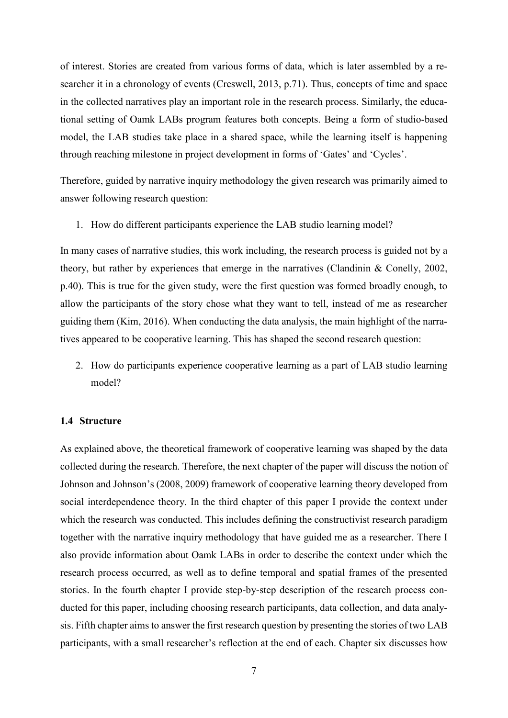of interest. Stories are created from various forms of data, which is later assembled by a researcher it in a chronology of events (Creswell, 2013, p.71). Thus, concepts of time and space in the collected narratives play an important role in the research process. Similarly, the educational setting of Oamk LABs program features both concepts. Being a form of studio-based model, the LAB studies take place in a shared space, while the learning itself is happening through reaching milestone in project development in forms of 'Gates' and 'Cycles'.

Therefore, guided by narrative inquiry methodology the given research was primarily aimed to answer following research question:

1. How do different participants experience the LAB studio learning model?

In many cases of narrative studies, this work including, the research process is guided not by a theory, but rather by experiences that emerge in the narratives (Clandinin & Conelly, 2002, p.40). This is true for the given study, were the first question was formed broadly enough, to allow the participants of the story chose what they want to tell, instead of me as researcher guiding them (Kim, 2016). When conducting the data analysis, the main highlight of the narratives appeared to be cooperative learning. This has shaped the second research question:

2. How do participants experience cooperative learning as a part of LAB studio learning model?

#### <span id="page-6-0"></span>**1.4 Structure**

As explained above, the theoretical framework of cooperative learning was shaped by the data collected during the research. Therefore, the next chapter of the paper will discuss the notion of Johnson and Johnson's (2008, 2009) framework of cooperative learning theory developed from social interdependence theory. In the third chapter of this paper I provide the context under which the research was conducted. This includes defining the constructivist research paradigm together with the narrative inquiry methodology that have guided me as a researcher. There I also provide information about Oamk LABs in order to describe the context under which the research process occurred, as well as to define temporal and spatial frames of the presented stories. In the fourth chapter I provide step-by-step description of the research process conducted for this paper, including choosing research participants, data collection, and data analysis. Fifth chapter aims to answer the first research question by presenting the stories of two LAB participants, with a small researcher's reflection at the end of each. Chapter six discusses how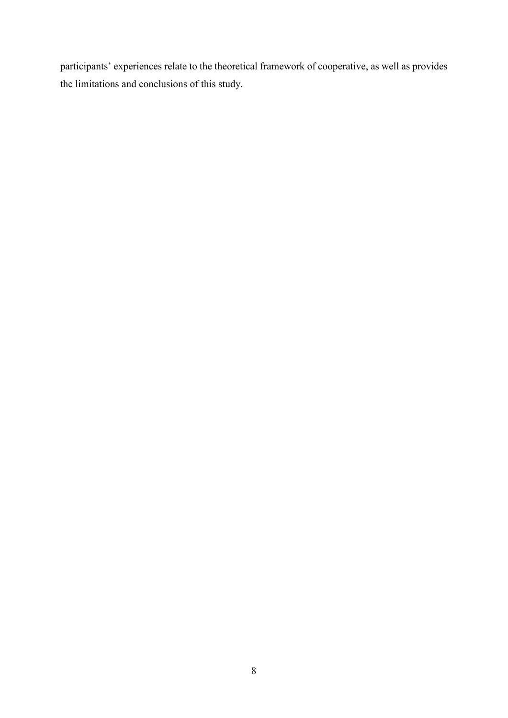participants' experiences relate to the theoretical framework of cooperative, as well as provides the limitations and conclusions of this study.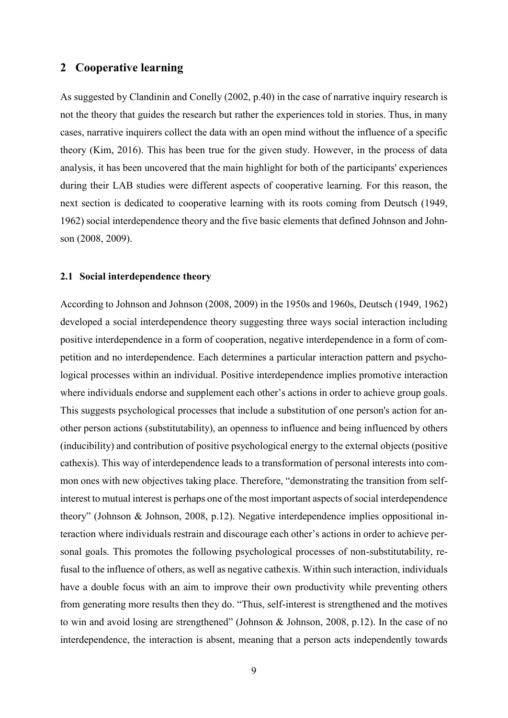## <span id="page-8-0"></span>**2 Cooperative learning**

As suggested by Clandinin and Conelly (2002, p.40) in the case of narrative inquiry research is not the theory that guides the research but rather the experiences told in stories. Thus, in many cases, narrative inquirers collect the data with an open mind without the influence of a specific theory (Kim, 2016). This has been true for the given study. However, in the process of data analysis, it has been uncovered that the main highlight for both of the participants' experiences during their LAB studies were different aspects of cooperative learning. For this reason, the next section is dedicated to cooperative learning with its roots coming from Deutsch (1949, 1962) social interdependence theory and the five basic elements that defined Johnson and Johnson (2008, 2009).

#### <span id="page-8-1"></span>**2.1 Social interdependence theory**

According to Johnson and Johnson (2008, 2009) in the 1950s and 1960s, Deutsch (1949, 1962) developed a social interdependence theory suggesting three ways social interaction including positive interdependence in a form of cooperation, negative interdependence in a form of competition and no interdependence. Each determines a particular interaction pattern and psychological processes within an individual. Positive interdependence implies promotive interaction where individuals endorse and supplement each other's actions in order to achieve group goals. This suggests psychological processes that include a substitution of one person's action for another person actions (substitutability), an openness to influence and being influenced by others (inducibility) and contribution of positive psychological energy to the external objects (positive cathexis). This way of interdependence leads to a transformation of personal interests into common ones with new objectives taking place. Therefore, "demonstrating the transition from selfinterest to mutual interest is perhaps one of the most important aspects of social interdependence theory" (Johnson & Johnson, 2008, p.12). Negative interdependence implies oppositional interaction where individuals restrain and discourage each other's actions in order to achieve personal goals. This promotes the following psychological processes of non-substitutability, refusal to the influence of others, as well as negative cathexis. Within such interaction, individuals have a double focus with an aim to improve their own productivity while preventing others from generating more results then they do. "Thus, self-interest is strengthened and the motives to win and avoid losing are strengthened" (Johnson & Johnson, 2008, p.12). In the case of no interdependence, the interaction is absent, meaning that a person acts independently towards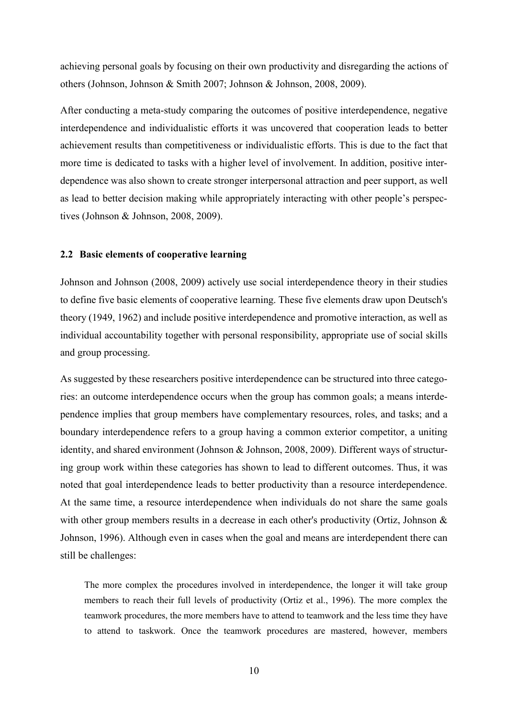achieving personal goals by focusing on their own productivity and disregarding the actions of others (Johnson, Johnson & Smith 2007; Johnson & Johnson, 2008, 2009).

After conducting a meta-study comparing the outcomes of positive interdependence, negative interdependence and individualistic efforts it was uncovered that cooperation leads to better achievement results than competitiveness or individualistic efforts. This is due to the fact that more time is dedicated to tasks with a higher level of involvement. In addition, positive interdependence was also shown to create stronger interpersonal attraction and peer support, as well as lead to better decision making while appropriately interacting with other people's perspectives (Johnson & Johnson, 2008, 2009).

## <span id="page-9-0"></span>**2.2 Basic elements of cooperative learning**

Johnson and Johnson (2008, 2009) actively use social interdependence theory in their studies to define five basic elements of cooperative learning. These five elements draw upon Deutsch's theory (1949, 1962) and include positive interdependence and promotive interaction, as well as individual accountability together with personal responsibility, appropriate use of social skills and group processing.

As suggested by these researchers positive interdependence can be structured into three categories: an outcome interdependence occurs when the group has common goals; a means interdependence implies that group members have complementary resources, roles, and tasks; and a boundary interdependence refers to a group having a common exterior competitor, a uniting identity, and shared environment (Johnson & Johnson, 2008, 2009). Different ways of structuring group work within these categories has shown to lead to different outcomes. Thus, it was noted that goal interdependence leads to better productivity than a resource interdependence. At the same time, a resource interdependence when individuals do not share the same goals with other group members results in a decrease in each other's productivity (Ortiz, Johnson & Johnson, 1996). Although even in cases when the goal and means are interdependent there can still be challenges:

The more complex the procedures involved in interdependence, the longer it will take group members to reach their full levels of productivity (Ortiz et al., 1996). The more complex the teamwork procedures, the more members have to attend to teamwork and the less time they have to attend to taskwork. Once the teamwork procedures are mastered, however, members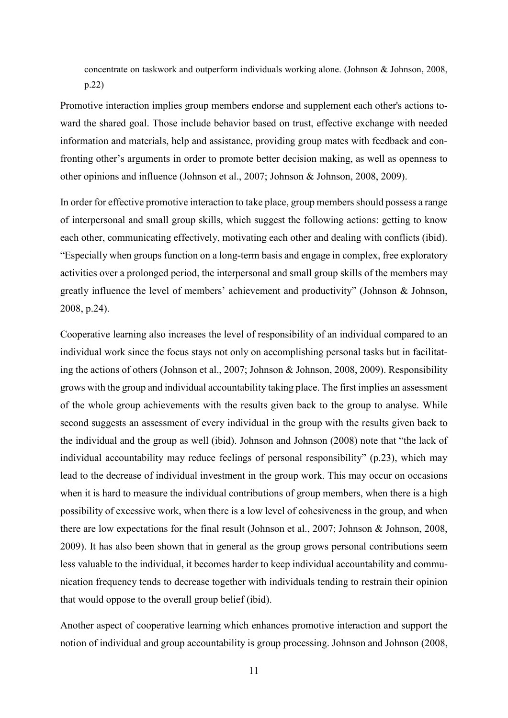concentrate on taskwork and outperform individuals working alone. (Johnson & Johnson, 2008, p.22)

Promotive interaction implies group members endorse and supplement each other's actions toward the shared goal. Those include behavior based on trust, effective exchange with needed information and materials, help and assistance, providing group mates with feedback and confronting other's arguments in order to promote better decision making, as well as openness to other opinions and influence (Johnson et al., 2007; Johnson & Johnson, 2008, 2009).

In order for effective promotive interaction to take place, group members should possess a range of interpersonal and small group skills, which suggest the following actions: getting to know each other, communicating effectively, motivating each other and dealing with conflicts (ibid). "Especially when groups function on a long-term basis and engage in complex, free exploratory activities over a prolonged period, the interpersonal and small group skills of the members may greatly influence the level of members' achievement and productivity" (Johnson & Johnson, 2008, p.24).

Cooperative learning also increases the level of responsibility of an individual compared to an individual work since the focus stays not only on accomplishing personal tasks but in facilitating the actions of others (Johnson et al., 2007; Johnson & Johnson, 2008, 2009). Responsibility grows with the group and individual accountability taking place. The first implies an assessment of the whole group achievements with the results given back to the group to analyse. While second suggests an assessment of every individual in the group with the results given back to the individual and the group as well (ibid). Johnson and Johnson (2008) note that "the lack of individual accountability may reduce feelings of personal responsibility" (p.23), which may lead to the decrease of individual investment in the group work. This may occur on occasions when it is hard to measure the individual contributions of group members, when there is a high possibility of excessive work, when there is a low level of cohesiveness in the group, and when there are low expectations for the final result (Johnson et al., 2007; Johnson & Johnson, 2008, 2009). It has also been shown that in general as the group grows personal contributions seem less valuable to the individual, it becomes harder to keep individual accountability and communication frequency tends to decrease together with individuals tending to restrain their opinion that would oppose to the overall group belief (ibid).

Another aspect of cooperative learning which enhances promotive interaction and support the notion of individual and group accountability is group processing. Johnson and Johnson (2008,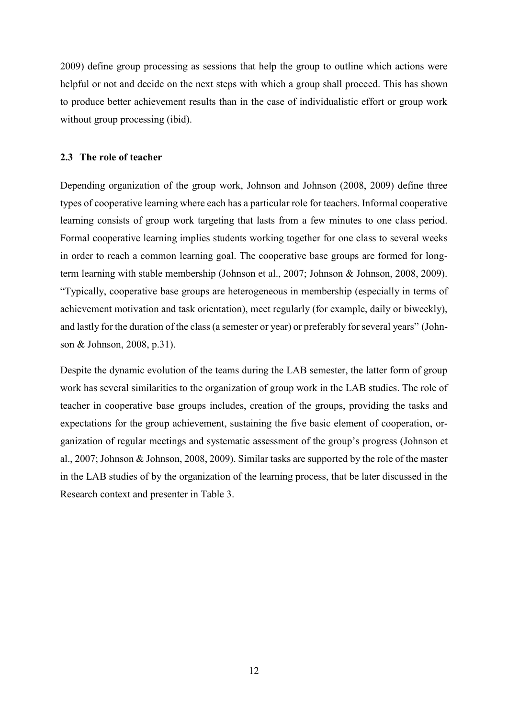2009) define group processing as sessions that help the group to outline which actions were helpful or not and decide on the next steps with which a group shall proceed. This has shown to produce better achievement results than in the case of individualistic effort or group work without group processing (ibid).

## <span id="page-11-0"></span>**2.3 The role of teacher**

Depending organization of the group work, Johnson and Johnson (2008, 2009) define three types of cooperative learning where each has a particular role for teachers. Informal cooperative learning consists of group work targeting that lasts from a few minutes to one class period. Formal cooperative learning implies students working together for one class to several weeks in order to reach a common learning goal. The cooperative base groups are formed for longterm learning with stable membership (Johnson et al., 2007; Johnson & Johnson, 2008, 2009). "Typically, cooperative base groups are heterogeneous in membership (especially in terms of achievement motivation and task orientation), meet regularly (for example, daily or biweekly), and lastly for the duration of the class (a semester or year) or preferably for several years" (Johnson & Johnson, 2008, p.31).

Despite the dynamic evolution of the teams during the LAB semester, the latter form of group work has several similarities to the organization of group work in the LAB studies. The role of teacher in cooperative base groups includes, creation of the groups, providing the tasks and expectations for the group achievement, sustaining the five basic element of cooperation, organization of regular meetings and systematic assessment of the group's progress (Johnson et al., 2007; Johnson & Johnson, 2008, 2009). Similar tasks are supported by the role of the master in the LAB studies of by the organization of the learning process, that be later discussed in the Research context and presenter in Table 3.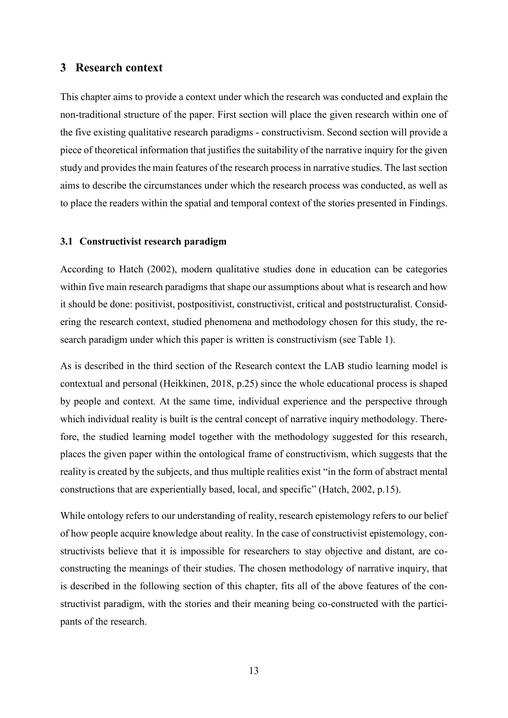## <span id="page-12-0"></span>**3 Research context**

This chapter aims to provide a context under which the research was conducted and explain the non-traditional structure of the paper. First section will place the given research within one of the five existing qualitative research paradigms - constructivism. Second section will provide a piece of theoretical information that justifies the suitability of the narrative inquiry for the given study and provides the main features of the research process in narrative studies. The last section aims to describe the circumstances under which the research process was conducted, as well as to place the readers within the spatial and temporal context of the stories presented in Findings.

#### <span id="page-12-1"></span>**3.1 Constructivist research paradigm**

According to Hatch (2002), modern qualitative studies done in education can be categories within five main research paradigms that shape our assumptions about what is research and how it should be done: positivist, postpositivist, constructivist, critical and poststructuralist. Considering the research context, studied phenomena and methodology chosen for this study, the research paradigm under which this paper is written is constructivism (see Table 1).

As is described in the third section of the Research context the LAB studio learning model is contextual and personal (Heikkinen, 2018, p.25) since the whole educational process is shaped by people and context. At the same time, individual experience and the perspective through which individual reality is built is the central concept of narrative inquiry methodology. Therefore, the studied learning model together with the methodology suggested for this research, places the given paper within the ontological frame of constructivism, which suggests that the reality is created by the subjects, and thus multiple realities exist "in the form of abstract mental constructions that are experientially based, local, and specific" (Hatch, 2002, p.15).

While ontology refers to our understanding of reality, research epistemology refers to our belief of how people acquire knowledge about reality. In the case of constructivist epistemology, constructivists believe that it is impossible for researchers to stay objective and distant, are coconstructing the meanings of their studies. The chosen methodology of narrative inquiry, that is described in the following section of this chapter, fits all of the above features of the constructivist paradigm, with the stories and their meaning being co-constructed with the participants of the research.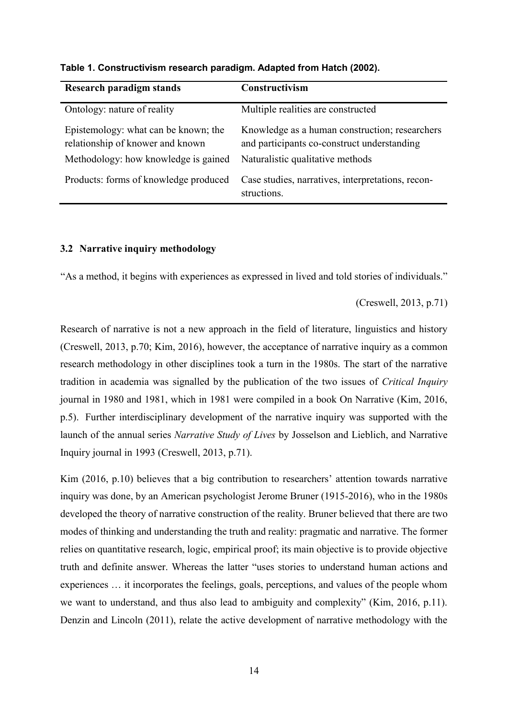| Research paradigm stands                                                 | Constructivism                                                                                |
|--------------------------------------------------------------------------|-----------------------------------------------------------------------------------------------|
| Ontology: nature of reality                                              | Multiple realities are constructed                                                            |
| Epistemology: what can be known; the<br>relationship of knower and known | Knowledge as a human construction; researchers<br>and participants co-construct understanding |
| Methodology: how knowledge is gained                                     | Naturalistic qualitative methods                                                              |
| Products: forms of knowledge produced                                    | Case studies, narratives, interpretations, recon-<br>structions.                              |

**Table 1. Constructivism research paradigm. Adapted from Hatch (2002).** 

#### <span id="page-13-0"></span>**3.2 Narrative inquiry methodology**

"As a method, it begins with experiences as expressed in lived and told stories of individuals."

(Creswell, 2013, p.71)

Research of narrative is not a new approach in the field of literature, linguistics and history (Creswell, 2013, p.70; Kim, 2016), however, the acceptance of narrative inquiry as a common research methodology in other disciplines took a turn in the 1980s. The start of the narrative tradition in academia was signalled by the publication of the two issues of *Critical Inquiry* journal in 1980 and 1981, which in 1981 were compiled in a book On Narrative (Kim, 2016, p.5). Further interdisciplinary development of the narrative inquiry was supported with the launch of the annual series *Narrative Study of Lives* by Josselson and Lieblich, and Narrative Inquiry journal in 1993 (Creswell, 2013, p.71).

Kim (2016, p.10) believes that a big contribution to researchers' attention towards narrative inquiry was done, by an American psychologist Jerome Bruner (1915-2016), who in the 1980s developed the theory of narrative construction of the reality. Bruner believed that there are two modes of thinking and understanding the truth and reality: pragmatic and narrative. The former relies on quantitative research, logic, empirical proof; its main objective is to provide objective truth and definite answer. Whereas the latter "uses stories to understand human actions and experiences … it incorporates the feelings, goals, perceptions, and values of the people whom we want to understand, and thus also lead to ambiguity and complexity" (Kim, 2016, p.11). Denzin and Lincoln (2011), relate the active development of narrative methodology with the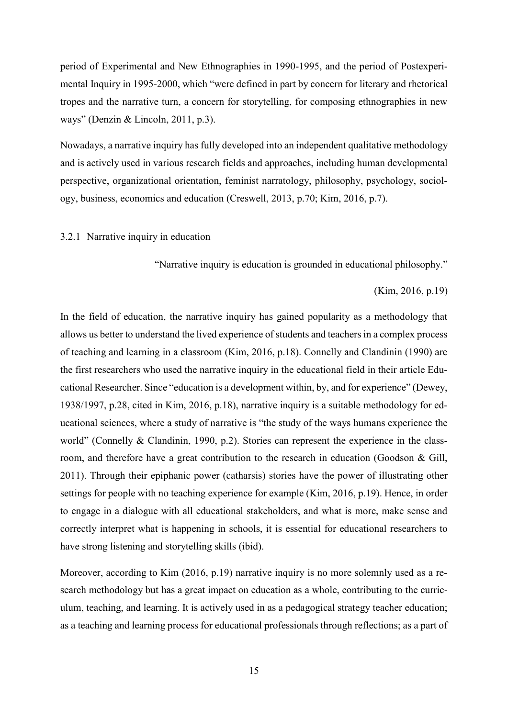period of Experimental and New Ethnographies in 1990-1995, and the period of Postexperimental Inquiry in 1995-2000, which "were defined in part by concern for literary and rhetorical tropes and the narrative turn, a concern for storytelling, for composing ethnographies in new ways" (Denzin & Lincoln, 2011, p.3).

Nowadays, a narrative inquiry has fully developed into an independent qualitative methodology and is actively used in various research fields and approaches, including human developmental perspective, organizational orientation, feminist narratology, philosophy, psychology, sociology, business, economics and education (Creswell, 2013, p.70; Kim, 2016, p.7).

#### <span id="page-14-0"></span>3.2.1 Narrative inquiry in education

"Narrative inquiry is education is grounded in educational philosophy."

#### (Kim, 2016, p.19)

In the field of education, the narrative inquiry has gained popularity as a methodology that allows us better to understand the lived experience of students and teachers in a complex process of teaching and learning in a classroom (Kim, 2016, p.18). Connelly and Clandinin (1990) are the first researchers who used the narrative inquiry in the educational field in their article Educational Researcher. Since "education is a development within, by, and for experience" (Dewey, 1938/1997, p.28, cited in Kim, 2016, p.18), narrative inquiry is a suitable methodology for educational sciences, where a study of narrative is "the study of the ways humans experience the world" (Connelly & Clandinin, 1990, p.2). Stories can represent the experience in the classroom, and therefore have a great contribution to the research in education (Goodson & Gill, 2011). Through their epiphanic power (catharsis) stories have the power of illustrating other settings for people with no teaching experience for example (Kim, 2016, p.19). Hence, in order to engage in a dialogue with all educational stakeholders, and what is more, make sense and correctly interpret what is happening in schools, it is essential for educational researchers to have strong listening and storytelling skills (ibid).

Moreover, according to Kim (2016, p.19) narrative inquiry is no more solemnly used as a research methodology but has a great impact on education as a whole, contributing to the curriculum, teaching, and learning. It is actively used in as a pedagogical strategy teacher education; as a teaching and learning process for educational professionals through reflections; as a part of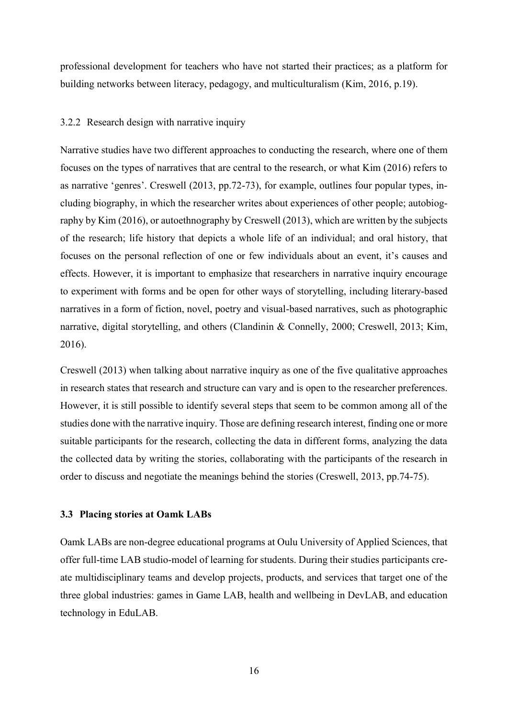professional development for teachers who have not started their practices; as a platform for building networks between literacy, pedagogy, and multiculturalism (Kim, 2016, p.19).

#### <span id="page-15-0"></span>3.2.2 Research design with narrative inquiry

Narrative studies have two different approaches to conducting the research, where one of them focuses on the types of narratives that are central to the research, or what Kim (2016) refers to as narrative 'genres'. Creswell (2013, pp.72-73), for example, outlines four popular types, including biography, in which the researcher writes about experiences of other people; autobiography by Kim (2016), or autoethnography by Creswell (2013), which are written by the subjects of the research; life history that depicts a whole life of an individual; and oral history, that focuses on the personal reflection of one or few individuals about an event, it's causes and effects. However, it is important to emphasize that researchers in narrative inquiry encourage to experiment with forms and be open for other ways of storytelling, including literary-based narratives in a form of fiction, novel, poetry and visual-based narratives, such as photographic narrative, digital storytelling, and others (Clandinin & Connelly, 2000; Creswell, 2013; Kim, 2016).

Creswell (2013) when talking about narrative inquiry as one of the five qualitative approaches in research states that research and structure can vary and is open to the researcher preferences. However, it is still possible to identify several steps that seem to be common among all of the studies done with the narrative inquiry. Those are defining research interest, finding one or more suitable participants for the research, collecting the data in different forms, analyzing the data the collected data by writing the stories, collaborating with the participants of the research in order to discuss and negotiate the meanings behind the stories (Creswell, 2013, pp.74-75).

#### <span id="page-15-1"></span>**3.3 Placing stories at Oamk LABs**

Oamk LABs are non-degree educational programs at Oulu University of Applied Sciences, that offer full-time LAB studio-model of learning for students. During their studies participants create multidisciplinary teams and develop projects, products, and services that target one of the three global industries: games in Game LAB, health and wellbeing in DevLAB, and education technology in EduLAB.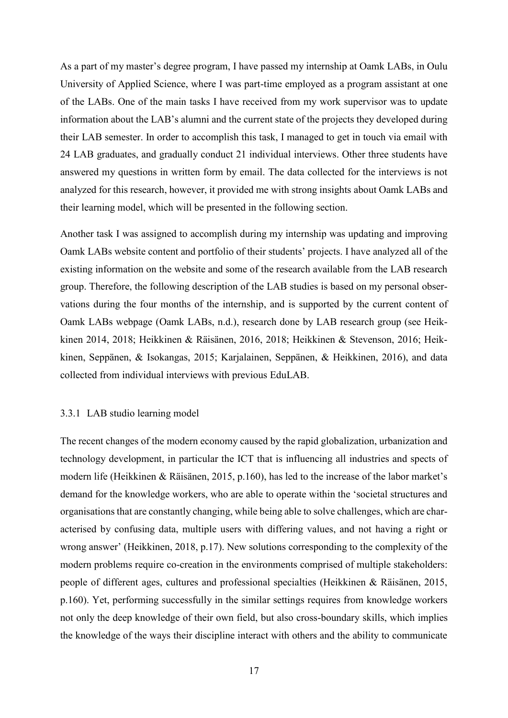As a part of my master's degree program, I have passed my internship at Oamk LABs, in Oulu University of Applied Science, where I was part-time employed as a program assistant at one of the LABs. One of the main tasks I have received from my work supervisor was to update information about the LAB's alumni and the current state of the projects they developed during their LAB semester. In order to accomplish this task, I managed to get in touch via email with 24 LAB graduates, and gradually conduct 21 individual interviews. Other three students have answered my questions in written form by email. The data collected for the interviews is not analyzed for this research, however, it provided me with strong insights about Oamk LABs and their learning model, which will be presented in the following section.

Another task I was assigned to accomplish during my internship was updating and improving Oamk LABs website content and portfolio of their students' projects. I have analyzed all of the existing information on the website and some of the research available from the LAB research group. Therefore, the following description of the LAB studies is based on my personal observations during the four months of the internship, and is supported by the current content of Oamk LABs webpage (Oamk LABs, n.d.), research done by LAB research group (see Heikkinen 2014, 2018; Heikkinen & Räisänen, 2016, 2018; Heikkinen & Stevenson, 2016; Heikkinen, Seppänen, & Isokangas, 2015; Karjalainen, Seppänen, & Heikkinen, 2016), and data collected from individual interviews with previous EduLAB.

#### <span id="page-16-0"></span>3.3.1 LAB studio learning model

The recent changes of the modern economy caused by the rapid globalization, urbanization and technology development, in particular the ICT that is influencing all industries and spects of modern life (Heikkinen & Räisänen, 2015, p.160), has led to the increase of the labor market's demand for the knowledge workers, who are able to operate within the 'societal structures and organisations that are constantly changing, while being able to solve challenges, which are characterised by confusing data, multiple users with differing values, and not having a right or wrong answer' (Heikkinen, 2018, p.17). New solutions corresponding to the complexity of the modern problems require co-creation in the environments comprised of multiple stakeholders: people of different ages, cultures and professional specialties (Heikkinen & Räisänen, 2015, p.160). Yet, performing successfully in the similar settings requires from knowledge workers not only the deep knowledge of their own field, but also cross-boundary skills, which implies the knowledge of the ways their discipline interact with others and the ability to communicate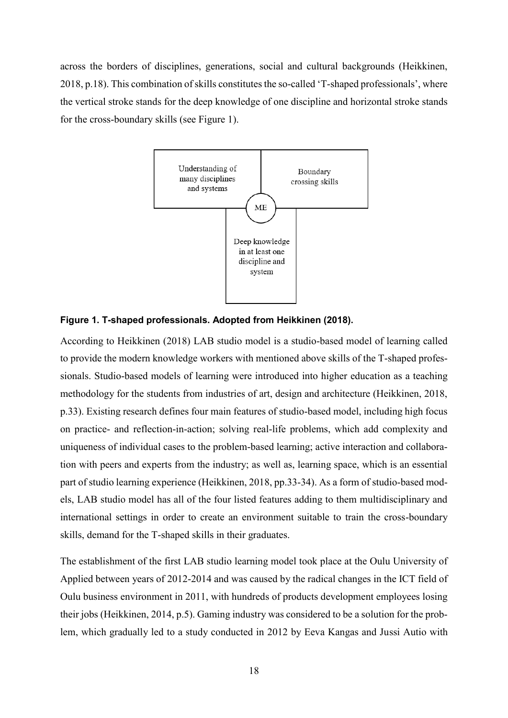across the borders of disciplines, generations, social and cultural backgrounds (Heikkinen, 2018, p.18). This combination of skills constitutes the so-called 'T-shaped professionals', where the vertical stroke stands for the deep knowledge of one discipline and horizontal stroke stands for the cross-boundary skills (see Figure 1).



#### **Figure 1. T-shaped professionals. Adopted from Heikkinen (2018).**

According to Heikkinen (2018) LAB studio model is a studio-based model of learning called to provide the modern knowledge workers with mentioned above skills of the T-shaped professionals. Studio-based models of learning were introduced into higher education as a teaching methodology for the students from industries of art, design and architecture (Heikkinen, 2018, p.33). Existing research defines four main features of studio-based model, including high focus on practice- and reflection-in-action; solving real-life problems, which add complexity and uniqueness of individual cases to the problem-based learning; active interaction and collaboration with peers and experts from the industry; as well as, learning space, which is an essential part of studio learning experience (Heikkinen, 2018, pp.33-34). As a form of studio-based models, LAB studio model has all of the four listed features adding to them multidisciplinary and international settings in order to create an environment suitable to train the cross-boundary skills, demand for the T-shaped skills in their graduates.

The establishment of the first LAB studio learning model took place at the Oulu University of Applied between years of 2012-2014 and was caused by the radical changes in the ICT field of Oulu business environment in 2011, with hundreds of products development employees losing their jobs (Heikkinen, 2014, p.5). Gaming industry was considered to be a solution for the problem, which gradually led to a study conducted in 2012 by Eeva Kangas and Jussi Autio with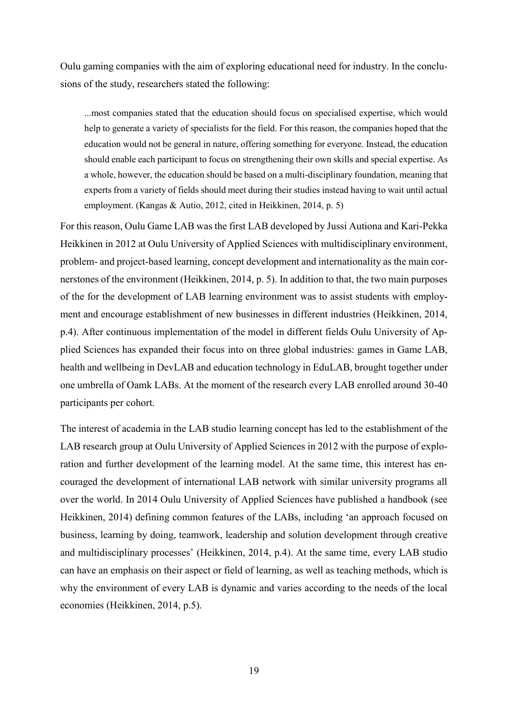Oulu gaming companies with the aim of exploring educational need for industry. In the conclusions of the study, researchers stated the following:

...most companies stated that the education should focus on specialised expertise, which would help to generate a variety of specialists for the field. For this reason, the companies hoped that the education would not be general in nature, offering something for everyone. Instead, the education should enable each participant to focus on strengthening their own skills and special expertise. As a whole, however, the education should be based on a multi-disciplinary foundation, meaning that experts from a variety of fields should meet during their studies instead having to wait until actual employment. (Kangas & Autio, 2012, cited in Heikkinen, 2014, p. 5)

For this reason, Oulu Game LAB was the first LAB developed by Jussi Autiona and Kari-Pekka Heikkinen in 2012 at Oulu University of Applied Sciences with multidisciplinary environment, problem- and project-based learning, concept development and internationality as the main cornerstones of the environment (Heikkinen, 2014, p. 5). In addition to that, the two main purposes of the for the development of LAB learning environment was to assist students with employment and encourage establishment of new businesses in different industries (Heikkinen, 2014, p.4). After continuous implementation of the model in different fields Oulu University of Applied Sciences has expanded their focus into on three global industries: games in Game LAB, health and wellbeing in DevLAB and education technology in EduLAB, brought together under one umbrella of Oamk LABs. At the moment of the research every LAB enrolled around 30-40 participants per cohort.

The interest of academia in the LAB studio learning concept has led to the establishment of the LAB research group at Oulu University of Applied Sciences in 2012 with the purpose of exploration and further development of the learning model. At the same time, this interest has encouraged the development of international LAB network with similar university programs all over the world. In 2014 Oulu University of Applied Sciences have published a handbook (see Heikkinen, 2014) defining common features of the LABs, including 'an approach focused on business, learning by doing, teamwork, leadership and solution development through creative and multidisciplinary processes' (Heikkinen, 2014, p.4). At the same time, every LAB studio can have an emphasis on their aspect or field of learning, as well as teaching methods, which is why the environment of every LAB is dynamic and varies according to the needs of the local economies (Heikkinen, 2014, p.5).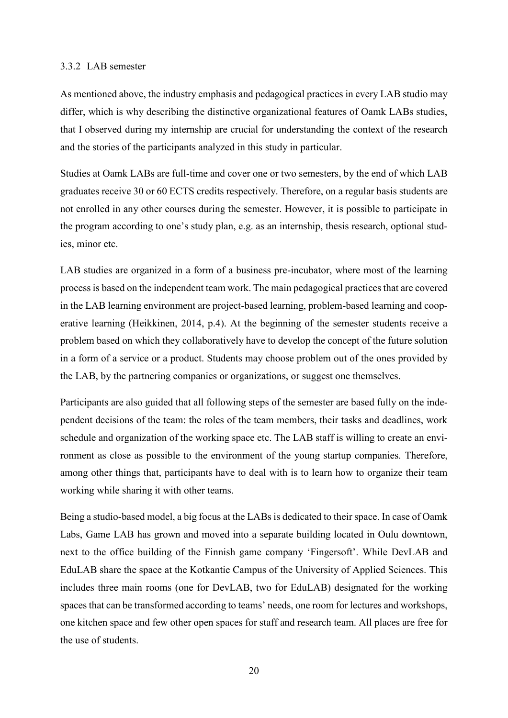#### <span id="page-19-0"></span>3.3.2 LAB semester

As mentioned above, the industry emphasis and pedagogical practices in every LAB studio may differ, which is why describing the distinctive organizational features of Oamk LABs studies, that I observed during my internship are crucial for understanding the context of the research and the stories of the participants analyzed in this study in particular.

Studies at Oamk LABs are full-time and cover one or two semesters, by the end of which LAB graduates receive 30 or 60 ECTS credits respectively. Therefore, on a regular basis students are not enrolled in any other courses during the semester. However, it is possible to participate in the program according to one's study plan, e.g. as an internship, thesis research, optional studies, minor etc.

LAB studies are organized in a form of a business pre-incubator, where most of the learning process is based on the independent team work. The main pedagogical practices that are covered in the LAB learning environment are project-based learning, problem-based learning and cooperative learning (Heikkinen, 2014, p.4). At the beginning of the semester students receive a problem based on which they collaboratively have to develop the concept of the future solution in a form of a service or a product. Students may choose problem out of the ones provided by the LAB, by the partnering companies or organizations, or suggest one themselves.

Participants are also guided that all following steps of the semester are based fully on the independent decisions of the team: the roles of the team members, their tasks and deadlines, work schedule and organization of the working space etc. The LAB staff is willing to create an environment as close as possible to the environment of the young startup companies. Therefore, among other things that, participants have to deal with is to learn how to organize their team working while sharing it with other teams.

Being a studio-based model, a big focus at the LABs is dedicated to their space. In case of Oamk Labs, Game LAB has grown and moved into a separate building located in Oulu downtown, next to the office building of the Finnish game company 'Fingersoft'. While DevLAB and EduLAB share the space at the Kotkantie Campus of the University of Applied Sciences. This includes three main rooms (one for DevLAB, two for EduLAB) designated for the working spaces that can be transformed according to teams' needs, one room for lectures and workshops, one kitchen space and few other open spaces for staff and research team. All places are free for the use of students.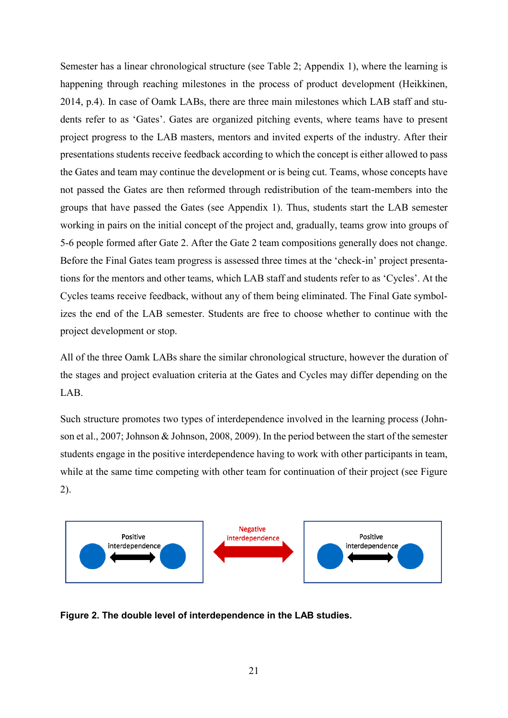Semester has a linear chronological structure (see Table 2; Appendix 1), where the learning is happening through reaching milestones in the process of product development (Heikkinen, 2014, p.4). In case of Oamk LABs, there are three main milestones which LAB staff and students refer to as 'Gates'. Gates are organized pitching events, where teams have to present project progress to the LAB masters, mentors and invited experts of the industry. After their presentations students receive feedback according to which the concept is either allowed to pass the Gates and team may continue the development or is being cut. Teams, whose concepts have not passed the Gates are then reformed through redistribution of the team-members into the groups that have passed the Gates (see Appendix 1). Thus, students start the LAB semester working in pairs on the initial concept of the project and, gradually, teams grow into groups of 5-6 people formed after Gate 2. After the Gate 2 team compositions generally does not change. Before the Final Gates team progress is assessed three times at the 'check-in' project presentations for the mentors and other teams, which LAB staff and students refer to as 'Cycles'. At the Cycles teams receive feedback, without any of them being eliminated. The Final Gate symbolizes the end of the LAB semester. Students are free to choose whether to continue with the project development or stop.

All of the three Oamk LABs share the similar chronological structure, however the duration of the stages and project evaluation criteria at the Gates and Cycles may differ depending on the LAB.

Such structure promotes two types of interdependence involved in the learning process (Johnson et al., 2007; Johnson & Johnson, 2008, 2009). In the period between the start of the semester students engage in the positive interdependence having to work with other participants in team, while at the same time competing with other team for continuation of their project (see Figure 2).



**Figure 2. The double level of interdependence in the LAB studies.**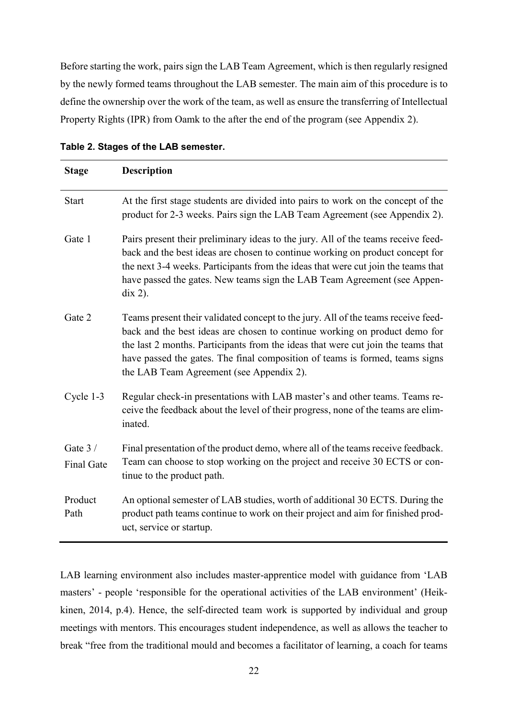Before starting the work, pairs sign the LAB Team Agreement, which is then regularly resigned by the newly formed teams throughout the LAB semester. The main aim of this procedure is to define the ownership over the work of the team, as well as ensure the transferring of Intellectual Property Rights (IPR) from Oamk to the after the end of the program (see Appendix 2).

| <b>Stage</b>                  | <b>Description</b>                                                                                                                                                                                                                                                                                                                                                              |
|-------------------------------|---------------------------------------------------------------------------------------------------------------------------------------------------------------------------------------------------------------------------------------------------------------------------------------------------------------------------------------------------------------------------------|
| <b>Start</b>                  | At the first stage students are divided into pairs to work on the concept of the<br>product for 2-3 weeks. Pairs sign the LAB Team Agreement (see Appendix 2).                                                                                                                                                                                                                  |
| Gate 1                        | Pairs present their preliminary ideas to the jury. All of the teams receive feed-<br>back and the best ideas are chosen to continue working on product concept for<br>the next 3-4 weeks. Participants from the ideas that were cut join the teams that<br>have passed the gates. New teams sign the LAB Team Agreement (see Appen-<br>$\operatorname{dix}$ 2).                 |
| Gate 2                        | Teams present their validated concept to the jury. All of the teams receive feed-<br>back and the best ideas are chosen to continue working on product demo for<br>the last 2 months. Participants from the ideas that were cut join the teams that<br>have passed the gates. The final composition of teams is formed, teams signs<br>the LAB Team Agreement (see Appendix 2). |
| Cycle 1-3                     | Regular check-in presentations with LAB master's and other teams. Teams re-<br>ceive the feedback about the level of their progress, none of the teams are elim-<br>inated.                                                                                                                                                                                                     |
| Gate 3 /<br><b>Final Gate</b> | Final presentation of the product demo, where all of the teams receive feedback.<br>Team can choose to stop working on the project and receive 30 ECTS or con-<br>tinue to the product path.                                                                                                                                                                                    |
| Product<br>Path               | An optional semester of LAB studies, worth of additional 30 ECTS. During the<br>product path teams continue to work on their project and aim for finished prod-<br>uct, service or startup.                                                                                                                                                                                     |

|  |  |  |  | Table 2. Stages of the LAB semester. |
|--|--|--|--|--------------------------------------|
|--|--|--|--|--------------------------------------|

LAB learning environment also includes master-apprentice model with guidance from 'LAB masters' - people 'responsible for the operational activities of the LAB environment' (Heikkinen, 2014, p.4). Hence, the self-directed team work is supported by individual and group meetings with mentors. This encourages student independence, as well as allows the teacher to break "free from the traditional mould and becomes a facilitator of learning, a coach for teams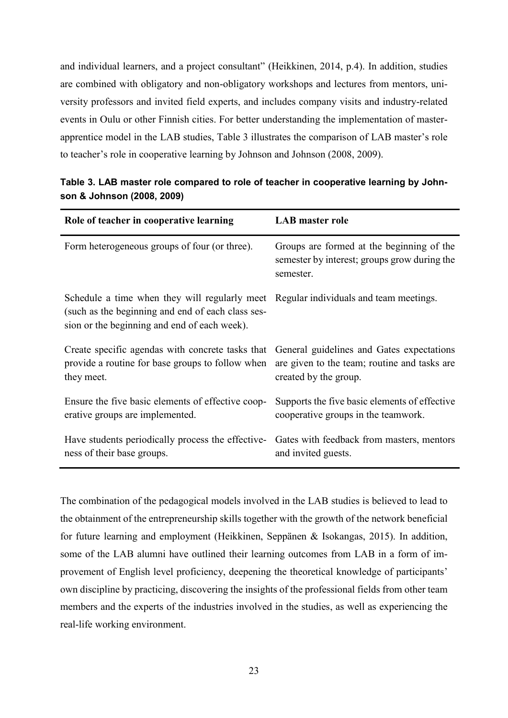and individual learners, and a project consultant" (Heikkinen, 2014, p.4). In addition, studies are combined with obligatory and non-obligatory workshops and lectures from mentors, university professors and invited field experts, and includes company visits and industry-related events in Oulu or other Finnish cities. For better understanding the implementation of masterapprentice model in the LAB studies, Table 3 illustrates the comparison of LAB master's role to teacher's role in cooperative learning by Johnson and Johnson (2008, 2009).

| Role of teacher in cooperative learning                                                                                                                                                   | <b>LAB</b> master role                                                                                 |
|-------------------------------------------------------------------------------------------------------------------------------------------------------------------------------------------|--------------------------------------------------------------------------------------------------------|
| Form heterogeneous groups of four (or three).                                                                                                                                             | Groups are formed at the beginning of the<br>semester by interest; groups grow during the<br>semester. |
| Schedule a time when they will regularly meet Regular individuals and team meetings.<br>(such as the beginning and end of each class ses-<br>sion or the beginning and end of each week). |                                                                                                        |
| Create specific agendas with concrete tasks that                                                                                                                                          | General guidelines and Gates expectations                                                              |
| provide a routine for base groups to follow when                                                                                                                                          | are given to the team; routine and tasks are                                                           |
| they meet.                                                                                                                                                                                | created by the group.                                                                                  |
| Ensure the five basic elements of effective coop-                                                                                                                                         | Supports the five basic elements of effective                                                          |
| erative groups are implemented.                                                                                                                                                           | cooperative groups in the teamwork.                                                                    |
| Have students periodically process the effective-                                                                                                                                         | Gates with feedback from masters, mentors                                                              |
| ness of their base groups.                                                                                                                                                                | and invited guests.                                                                                    |

**Table 3. LAB master role compared to role of teacher in cooperative learning by Johnson & Johnson (2008, 2009)** 

The combination of the pedagogical models involved in the LAB studies is believed to lead to the obtainment of the entrepreneurship skills together with the growth of the network beneficial for future learning and employment (Heikkinen, Seppänen & Isokangas, 2015). In addition, some of the LAB alumni have outlined their learning outcomes from LAB in a form of improvement of English level proficiency, deepening the theoretical knowledge of participants' own discipline by practicing, discovering the insights of the professional fields from other team members and the experts of the industries involved in the studies, as well as experiencing the real-life working environment.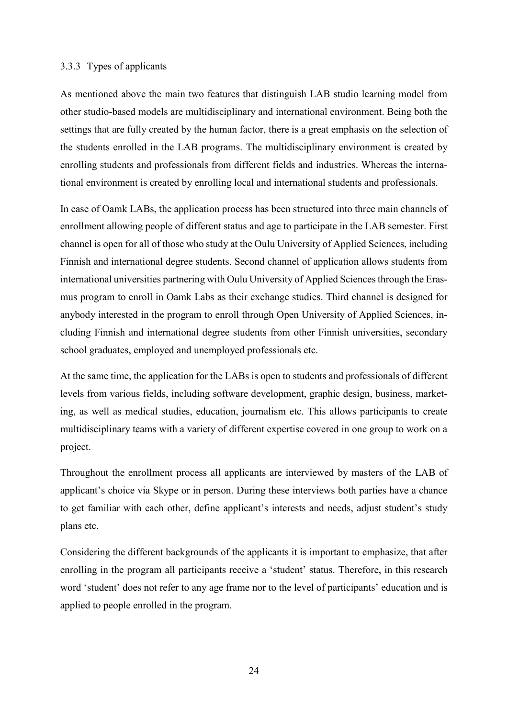#### <span id="page-23-0"></span>3.3.3 Types of applicants

As mentioned above the main two features that distinguish LAB studio learning model from other studio-based models are multidisciplinary and international environment. Being both the settings that are fully created by the human factor, there is a great emphasis on the selection of the students enrolled in the LAB programs. The multidisciplinary environment is created by enrolling students and professionals from different fields and industries. Whereas the international environment is created by enrolling local and international students and professionals.

In case of Oamk LABs, the application process has been structured into three main channels of enrollment allowing people of different status and age to participate in the LAB semester. First channel is open for all of those who study at the Oulu University of Applied Sciences, including Finnish and international degree students. Second channel of application allows students from international universities partnering with Oulu University of Applied Sciences through the Erasmus program to enroll in Oamk Labs as their exchange studies. Third channel is designed for anybody interested in the program to enroll through Open University of Applied Sciences, including Finnish and international degree students from other Finnish universities, secondary school graduates, employed and unemployed professionals etc.

At the same time, the application for the LABs is open to students and professionals of different levels from various fields, including software development, graphic design, business, marketing, as well as medical studies, education, journalism etc. This allows participants to create multidisciplinary teams with a variety of different expertise covered in one group to work on a project.

Throughout the enrollment process all applicants are interviewed by masters of the LAB of applicant's choice via Skype or in person. During these interviews both parties have a chance to get familiar with each other, define applicant's interests and needs, adjust student's study plans etc.

Considering the different backgrounds of the applicants it is important to emphasize, that after enrolling in the program all participants receive a 'student' status. Therefore, in this research word 'student' does not refer to any age frame nor to the level of participants' education and is applied to people enrolled in the program.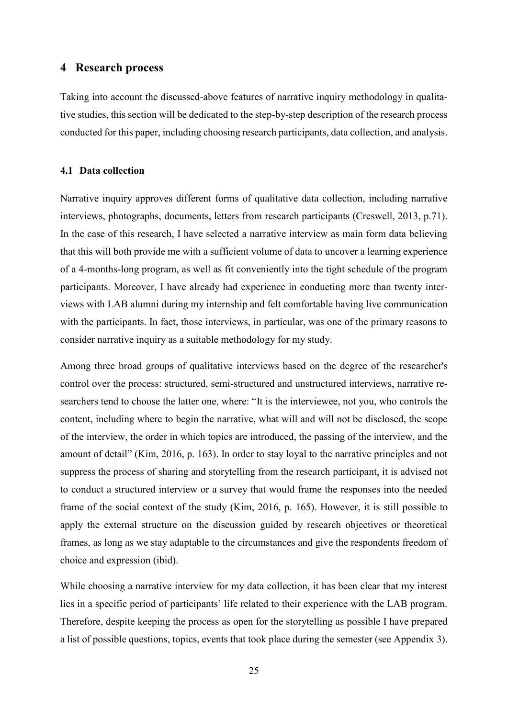## <span id="page-24-0"></span>**4 Research process**

Taking into account the discussed-above features of narrative inquiry methodology in qualitative studies, this section will be dedicated to the step-by-step description of the research process conducted for this paper, including choosing research participants, data collection, and analysis.

#### <span id="page-24-1"></span>**4.1 Data collection**

Narrative inquiry approves different forms of qualitative data collection, including narrative interviews, photographs, documents, letters from research participants (Creswell, 2013, p.71). In the case of this research, I have selected a narrative interview as main form data believing that this will both provide me with a sufficient volume of data to uncover a learning experience of a 4-months-long program, as well as fit conveniently into the tight schedule of the program participants. Moreover, I have already had experience in conducting more than twenty interviews with LAB alumni during my internship and felt comfortable having live communication with the participants. In fact, those interviews, in particular, was one of the primary reasons to consider narrative inquiry as a suitable methodology for my study.

Among three broad groups of qualitative interviews based on the degree of the researcher's control over the process: structured, semi-structured and unstructured interviews, narrative researchers tend to choose the latter one, where: "It is the interviewee, not you, who controls the content, including where to begin the narrative, what will and will not be disclosed, the scope of the interview, the order in which topics are introduced, the passing of the interview, and the amount of detail" (Kim, 2016, p. 163). In order to stay loyal to the narrative principles and not suppress the process of sharing and storytelling from the research participant, it is advised not to conduct a structured interview or a survey that would frame the responses into the needed frame of the social context of the study (Kim, 2016, p. 165). However, it is still possible to apply the external structure on the discussion guided by research objectives or theoretical frames, as long as we stay adaptable to the circumstances and give the respondents freedom of choice and expression (ibid).

While choosing a narrative interview for my data collection, it has been clear that my interest lies in a specific period of participants' life related to their experience with the LAB program. Therefore, despite keeping the process as open for the storytelling as possible I have prepared a list of possible questions, topics, events that took place during the semester (see Appendix 3).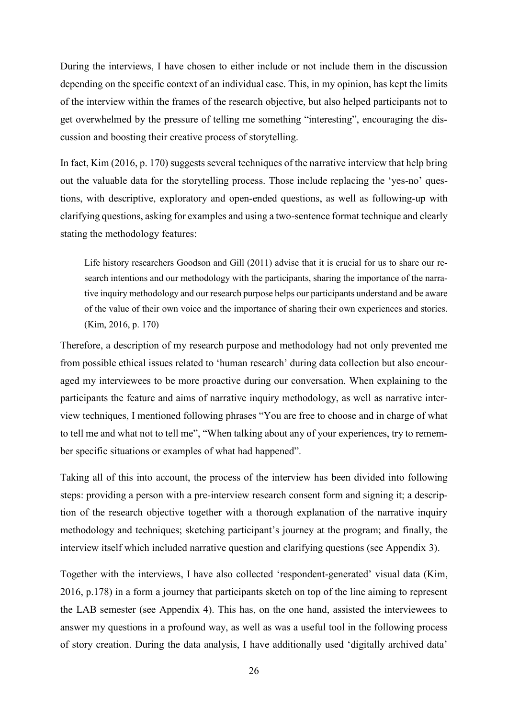During the interviews, I have chosen to either include or not include them in the discussion depending on the specific context of an individual case. This, in my opinion, has kept the limits of the interview within the frames of the research objective, but also helped participants not to get overwhelmed by the pressure of telling me something "interesting", encouraging the discussion and boosting their creative process of storytelling.

In fact, Kim (2016, p. 170) suggests several techniques of the narrative interview that help bring out the valuable data for the storytelling process. Those include replacing the 'yes-no' questions, with descriptive, exploratory and open-ended questions, as well as following-up with clarifying questions, asking for examples and using a two-sentence format technique and clearly stating the methodology features:

Life history researchers Goodson and Gill (2011) advise that it is crucial for us to share our research intentions and our methodology with the participants, sharing the importance of the narrative inquiry methodology and our research purpose helps our participants understand and be aware of the value of their own voice and the importance of sharing their own experiences and stories. (Kim, 2016, p. 170)

Therefore, a description of my research purpose and methodology had not only prevented me from possible ethical issues related to 'human research' during data collection but also encouraged my interviewees to be more proactive during our conversation. When explaining to the participants the feature and aims of narrative inquiry methodology, as well as narrative interview techniques, I mentioned following phrases "You are free to choose and in charge of what to tell me and what not to tell me", "When talking about any of your experiences, try to remember specific situations or examples of what had happened".

Taking all of this into account, the process of the interview has been divided into following steps: providing a person with a pre-interview research consent form and signing it; a description of the research objective together with a thorough explanation of the narrative inquiry methodology and techniques; sketching participant's journey at the program; and finally, the interview itself which included narrative question and clarifying questions (see Appendix 3).

Together with the interviews, I have also collected 'respondent-generated' visual data (Kim, 2016, p.178) in a form a journey that participants sketch on top of the line aiming to represent the LAB semester (see Appendix 4). This has, on the one hand, assisted the interviewees to answer my questions in a profound way, as well as was a useful tool in the following process of story creation. During the data analysis, I have additionally used 'digitally archived data'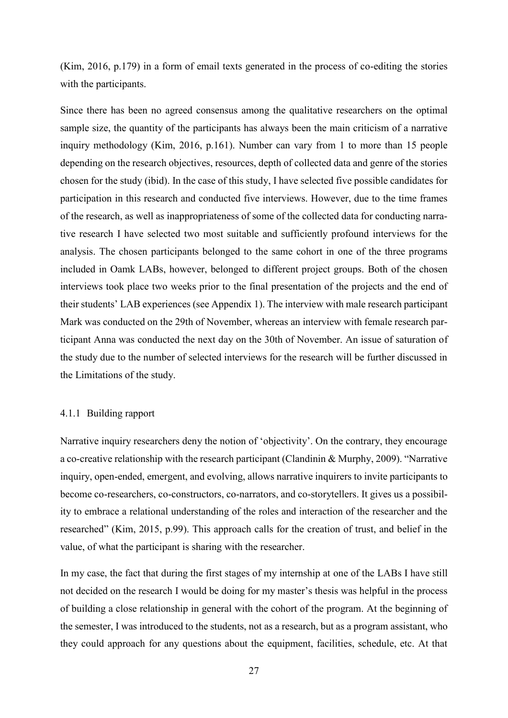(Kim, 2016, p.179) in a form of email texts generated in the process of co-editing the stories with the participants.

Since there has been no agreed consensus among the qualitative researchers on the optimal sample size, the quantity of the participants has always been the main criticism of a narrative inquiry methodology (Kim, 2016, p.161). Number can vary from 1 to more than 15 people depending on the research objectives, resources, depth of collected data and genre of the stories chosen for the study (ibid). In the case of this study, I have selected five possible candidates for participation in this research and conducted five interviews. However, due to the time frames of the research, as well as inappropriateness of some of the collected data for conducting narrative research I have selected two most suitable and sufficiently profound interviews for the analysis. The chosen participants belonged to the same cohort in one of the three programs included in Oamk LABs, however, belonged to different project groups. Both of the chosen interviews took place two weeks prior to the final presentation of the projects and the end of their students' LAB experiences (see Appendix 1). The interview with male research participant Mark was conducted on the 29th of November, whereas an interview with female research participant Anna was conducted the next day on the 30th of November. An issue of saturation of the study due to the number of selected interviews for the research will be further discussed in the Limitations of the study.

#### <span id="page-26-0"></span>4.1.1 Building rapport

Narrative inquiry researchers deny the notion of 'objectivity'. On the contrary, they encourage a co-creative relationship with the research participant (Clandinin & Murphy, 2009). "Narrative inquiry, open-ended, emergent, and evolving, allows narrative inquirers to invite participants to become co-researchers, co-constructors, co-narrators, and co-storytellers. It gives us a possibility to embrace a relational understanding of the roles and interaction of the researcher and the researched" (Kim, 2015, p.99). This approach calls for the creation of trust, and belief in the value, of what the participant is sharing with the researcher.

In my case, the fact that during the first stages of my internship at one of the LABs I have still not decided on the research I would be doing for my master's thesis was helpful in the process of building a close relationship in general with the cohort of the program. At the beginning of the semester, I was introduced to the students, not as a research, but as a program assistant, who they could approach for any questions about the equipment, facilities, schedule, etc. At that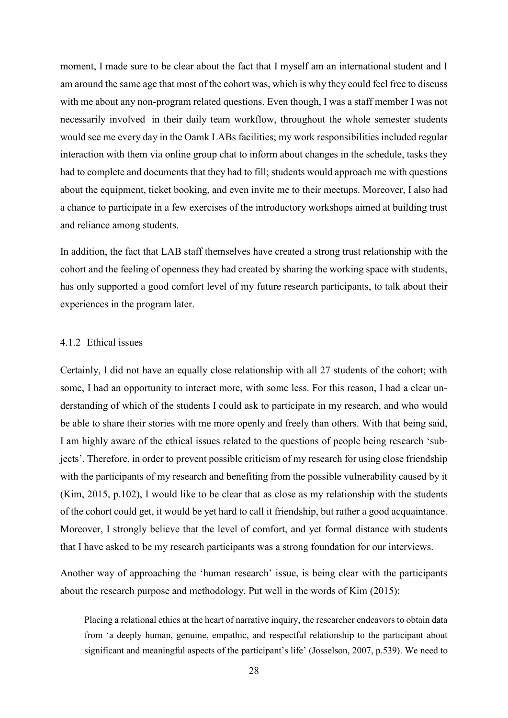moment, I made sure to be clear about the fact that I myself am an international student and I am around the same age that most of the cohort was, which is why they could feel free to discuss with me about any non-program related questions. Even though, I was a staff member I was not necessarily involved in their daily team workflow, throughout the whole semester students would see me every day in the Oamk LABs facilities; my work responsibilities included regular interaction with them via online group chat to inform about changes in the schedule, tasks they had to complete and documents that they had to fill; students would approach me with questions about the equipment, ticket booking, and even invite me to their meetups. Moreover, I also had a chance to participate in a few exercises of the introductory workshops aimed at building trust and reliance among students.

In addition, the fact that LAB staff themselves have created a strong trust relationship with the cohort and the feeling of openness they had created by sharing the working space with students, has only supported a good comfort level of my future research participants, to talk about their experiences in the program later.

#### <span id="page-27-0"></span>4.1.2 Ethical issues

Certainly, I did not have an equally close relationship with all 27 students of the cohort; with some, I had an opportunity to interact more, with some less. For this reason, I had a clear understanding of which of the students I could ask to participate in my research, and who would be able to share their stories with me more openly and freely than others. With that being said, I am highly aware of the ethical issues related to the questions of people being research 'subjects'. Therefore, in order to prevent possible criticism of my research for using close friendship with the participants of my research and benefiting from the possible vulnerability caused by it (Kim, 2015, p.102), I would like to be clear that as close as my relationship with the students of the cohort could get, it would be yet hard to call it friendship, but rather a good acquaintance. Moreover, I strongly believe that the level of comfort, and yet formal distance with students that I have asked to be my research participants was a strong foundation for our interviews.

Another way of approaching the 'human research' issue, is being clear with the participants about the research purpose and methodology. Put well in the words of Kim (2015):

Placing a relational ethics at the heart of narrative inquiry, the researcher endeavors to obtain data from 'a deeply human, genuine, empathic, and respectful relationship to the participant about significant and meaningful aspects of the participant's life' (Josselson, 2007, p.539). We need to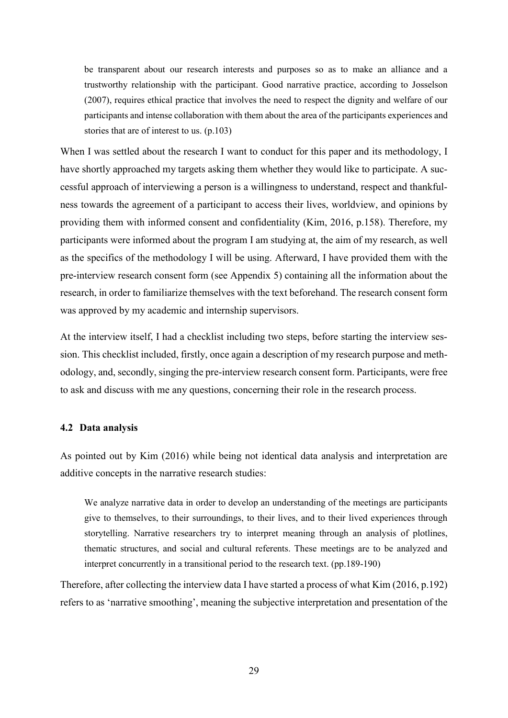be transparent about our research interests and purposes so as to make an alliance and a trustworthy relationship with the participant. Good narrative practice, according to Josselson (2007), requires ethical practice that involves the need to respect the dignity and welfare of our participants and intense collaboration with them about the area of the participants experiences and stories that are of interest to us. (p.103)

When I was settled about the research I want to conduct for this paper and its methodology, I have shortly approached my targets asking them whether they would like to participate. A successful approach of interviewing a person is a willingness to understand, respect and thankfulness towards the agreement of a participant to access their lives, worldview, and opinions by providing them with informed consent and confidentiality (Kim, 2016, p.158). Therefore, my participants were informed about the program I am studying at, the aim of my research, as well as the specifics of the methodology I will be using. Afterward, I have provided them with the pre-interview research consent form (see Appendix 5) containing all the information about the research, in order to familiarize themselves with the text beforehand. The research consent form was approved by my academic and internship supervisors.

At the interview itself, I had a checklist including two steps, before starting the interview session. This checklist included, firstly, once again a description of my research purpose and methodology, and, secondly, singing the pre-interview research consent form. Participants, were free to ask and discuss with me any questions, concerning their role in the research process.

#### <span id="page-28-0"></span>**4.2 Data analysis**

As pointed out by Kim (2016) while being not identical data analysis and interpretation are additive concepts in the narrative research studies:

We analyze narrative data in order to develop an understanding of the meetings are participants give to themselves, to their surroundings, to their lives, and to their lived experiences through storytelling. Narrative researchers try to interpret meaning through an analysis of plotlines, thematic structures, and social and cultural referents. These meetings are to be analyzed and interpret concurrently in a transitional period to the research text. (pp.189-190)

Therefore, after collecting the interview data I have started a process of what Kim (2016, p.192) refers to as 'narrative smoothing', meaning the subjective interpretation and presentation of the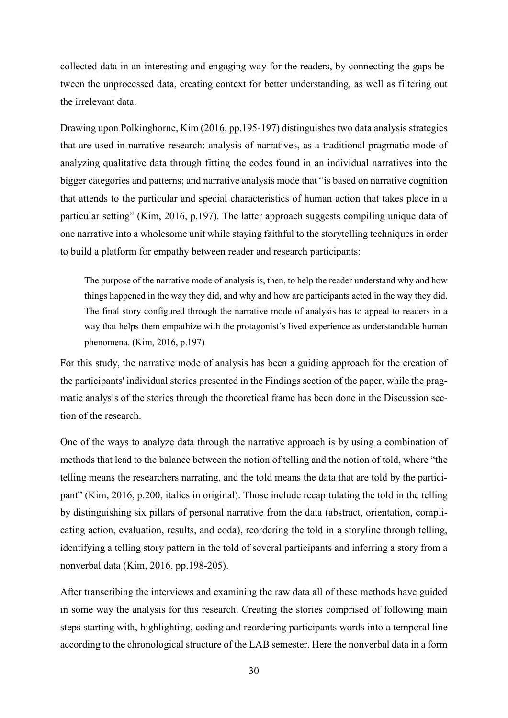collected data in an interesting and engaging way for the readers, by connecting the gaps between the unprocessed data, creating context for better understanding, as well as filtering out the irrelevant data.

Drawing upon Polkinghorne, Kim (2016, pp.195-197) distinguishes two data analysis strategies that are used in narrative research: analysis of narratives, as a traditional pragmatic mode of analyzing qualitative data through fitting the codes found in an individual narratives into the bigger categories and patterns; and narrative analysis mode that "is based on narrative cognition that attends to the particular and special characteristics of human action that takes place in a particular setting" (Kim, 2016, p.197). The latter approach suggests compiling unique data of one narrative into a wholesome unit while staying faithful to the storytelling techniques in order to build a platform for empathy between reader and research participants:

The purpose of the narrative mode of analysis is, then, to help the reader understand why and how things happened in the way they did, and why and how are participants acted in the way they did. The final story configured through the narrative mode of analysis has to appeal to readers in a way that helps them empathize with the protagonist's lived experience as understandable human phenomena. (Kim, 2016, p.197)

For this study, the narrative mode of analysis has been a guiding approach for the creation of the participants' individual stories presented in the Findings section of the paper, while the pragmatic analysis of the stories through the theoretical frame has been done in the Discussion section of the research.

One of the ways to analyze data through the narrative approach is by using a combination of methods that lead to the balance between the notion of telling and the notion of told, where "the telling means the researchers narrating, and the told means the data that are told by the participant" (Kim, 2016, p.200, italics in original). Those include recapitulating the told in the telling by distinguishing six pillars of personal narrative from the data (abstract, orientation, complicating action, evaluation, results, and coda), reordering the told in a storyline through telling, identifying a telling story pattern in the told of several participants and inferring a story from a nonverbal data (Kim, 2016, pp.198-205).

After transcribing the interviews and examining the raw data all of these methods have guided in some way the analysis for this research. Creating the stories comprised of following main steps starting with, highlighting, coding and reordering participants words into a temporal line according to the chronological structure of the LAB semester. Here the nonverbal data in a form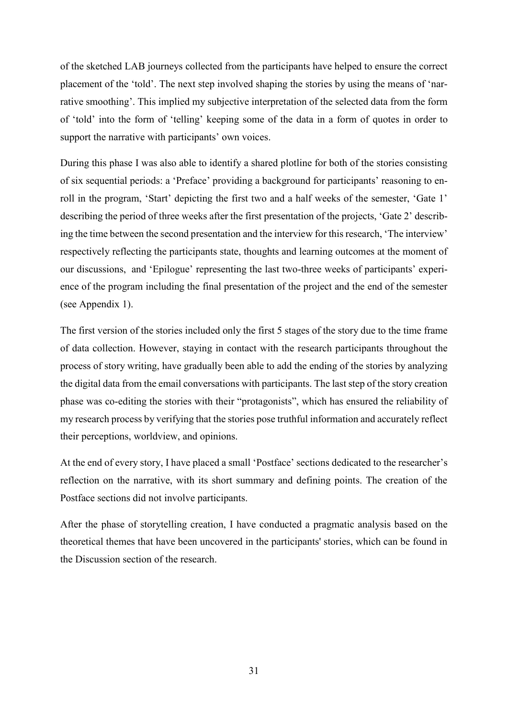of the sketched LAB journeys collected from the participants have helped to ensure the correct placement of the 'told'. The next step involved shaping the stories by using the means of 'narrative smoothing'. This implied my subjective interpretation of the selected data from the form of 'told' into the form of 'telling' keeping some of the data in a form of quotes in order to support the narrative with participants' own voices.

During this phase I was also able to identify a shared plotline for both of the stories consisting of six sequential periods: a 'Preface' providing a background for participants' reasoning to enroll in the program, 'Start' depicting the first two and a half weeks of the semester, 'Gate 1' describing the period of three weeks after the first presentation of the projects, 'Gate 2' describing the time between the second presentation and the interview for this research, 'The interview' respectively reflecting the participants state, thoughts and learning outcomes at the moment of our discussions, and 'Epilogue' representing the last two-three weeks of participants' experience of the program including the final presentation of the project and the end of the semester (see Appendix 1).

The first version of the stories included only the first 5 stages of the story due to the time frame of data collection. However, staying in contact with the research participants throughout the process of story writing, have gradually been able to add the ending of the stories by analyzing the digital data from the email conversations with participants. The last step of the story creation phase was co-editing the stories with their "protagonists", which has ensured the reliability of my research process by verifying that the stories pose truthful information and accurately reflect their perceptions, worldview, and opinions.

At the end of every story, I have placed a small 'Postface' sections dedicated to the researcher's reflection on the narrative, with its short summary and defining points. The creation of the Postface sections did not involve participants.

After the phase of storytelling creation, I have conducted a pragmatic analysis based on the theoretical themes that have been uncovered in the participants' stories, which can be found in the Discussion section of the research.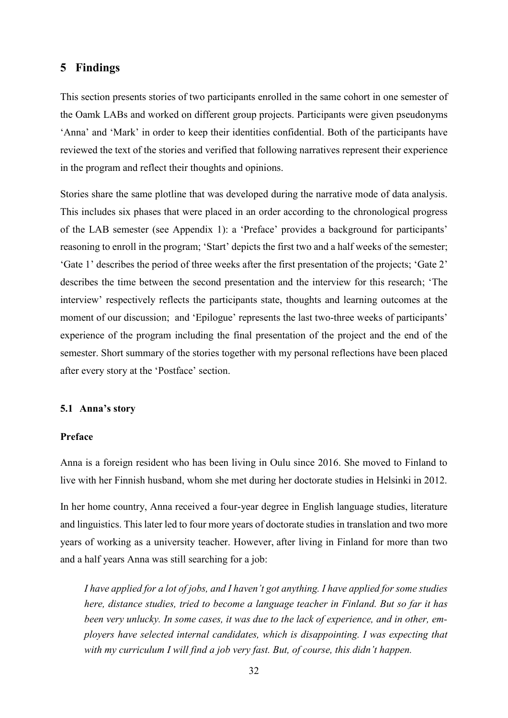## <span id="page-31-0"></span>**5 Findings**

This section presents stories of two participants enrolled in the same cohort in one semester of the Oamk LABs and worked on different group projects. Participants were given pseudonyms 'Anna' and 'Mark' in order to keep their identities confidential. Both of the participants have reviewed the text of the stories and verified that following narratives represent their experience in the program and reflect their thoughts and opinions.

Stories share the same plotline that was developed during the narrative mode of data analysis. This includes six phases that were placed in an order according to the chronological progress of the LAB semester (see Appendix 1): a 'Preface' provides a background for participants' reasoning to enroll in the program; 'Start' depicts the first two and a half weeks of the semester; 'Gate 1' describes the period of three weeks after the first presentation of the projects; 'Gate 2' describes the time between the second presentation and the interview for this research; 'The interview' respectively reflects the participants state, thoughts and learning outcomes at the moment of our discussion; and 'Epilogue' represents the last two-three weeks of participants' experience of the program including the final presentation of the project and the end of the semester. Short summary of the stories together with my personal reflections have been placed after every story at the 'Postface' section.

## <span id="page-31-1"></span>**5.1 Anna's story**

## **Preface**

Anna is a foreign resident who has been living in Oulu since 2016. She moved to Finland to live with her Finnish husband, whom she met during her doctorate studies in Helsinki in 2012.

In her home country, Anna received a four-year degree in English language studies, literature and linguistics. This later led to four more years of doctorate studies in translation and two more years of working as a university teacher. However, after living in Finland for more than two and a half years Anna was still searching for a job:

*I have applied for a lot of jobs, and I haven't got anything. I have applied for some studies here, distance studies, tried to become a language teacher in Finland. But so far it has been very unlucky. In some cases, it was due to the lack of experience, and in other, employers have selected internal candidates, which is disappointing. I was expecting that with my curriculum I will find a job very fast. But, of course, this didn't happen.*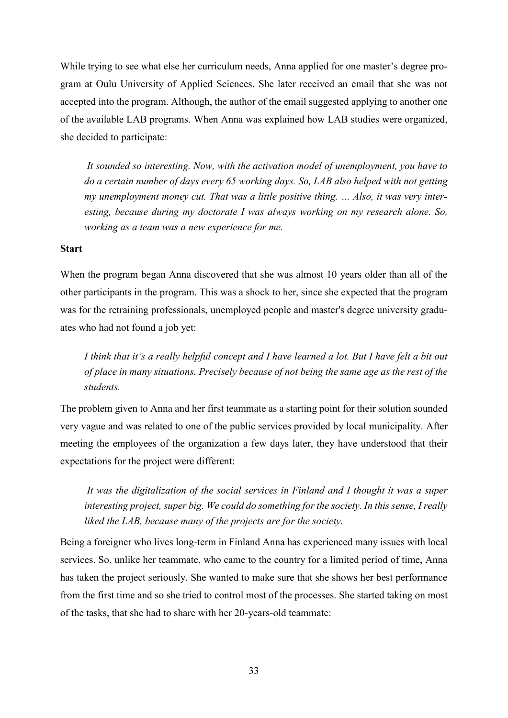While trying to see what else her curriculum needs, Anna applied for one master's degree program at Oulu University of Applied Sciences. She later received an email that she was not accepted into the program. Although, the author of the email suggested applying to another one of the available LAB programs. When Anna was explained how LAB studies were organized, she decided to participate:

 *It sounded so interesting. Now, with the activation model of unemployment, you have to do a certain number of days every 65 working days. So, LAB also helped with not getting my unemployment money cut. That was a little positive thing. … Also, it was very interesting, because during my doctorate I was always working on my research alone. So, working as a team was a new experience for me.* 

#### **Start**

When the program began Anna discovered that she was almost 10 years older than all of the other participants in the program. This was a shock to her, since she expected that the program was for the retraining professionals, unemployed people and master's degree university graduates who had not found a job yet:

*I think that it's a really helpful concept and I have learned a lot. But I have felt a bit out of place in many situations. Precisely because of not being the same age as the rest of the students.* 

The problem given to Anna and her first teammate as a starting point for their solution sounded very vague and was related to one of the public services provided by local municipality. After meeting the employees of the organization a few days later, they have understood that their expectations for the project were different:

 *It was the digitalization of the social services in Finland and I thought it was a super interesting project, super big. We could do something for the society. In this sense, I really liked the LAB, because many of the projects are for the society.* 

Being a foreigner who lives long-term in Finland Anna has experienced many issues with local services. So, unlike her teammate, who came to the country for a limited period of time, Anna has taken the project seriously. She wanted to make sure that she shows her best performance from the first time and so she tried to control most of the processes. She started taking on most of the tasks, that she had to share with her 20-years-old teammate: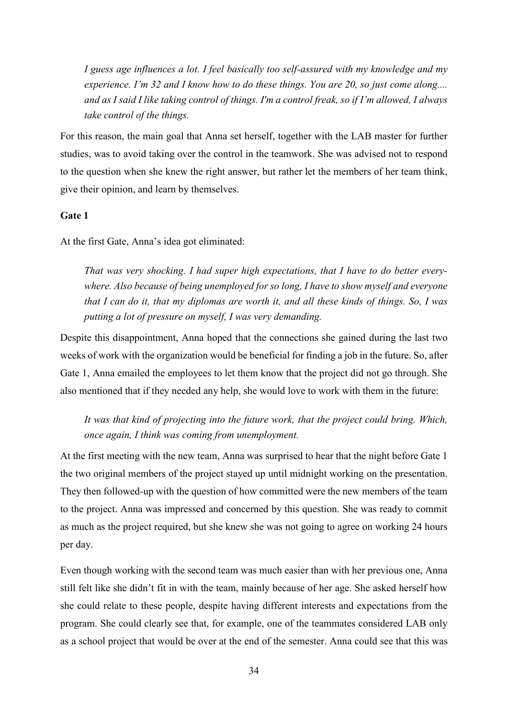*I guess age influences a lot. I feel basically too self-assured with my knowledge and my experience. I'm 32 and I know how to do these things. You are 20, so just come along.... and as I said I like taking control of things. I'm a control freak, so if I'm allowed, I always take control of the things.* 

For this reason, the main goal that Anna set herself, together with the LAB master for further studies, was to avoid taking over the control in the teamwork. She was advised not to respond to the question when she knew the right answer, but rather let the members of her team think, give their opinion, and learn by themselves.

## **Gate 1**

At the first Gate, Anna's idea got eliminated:

*That was very shocking. I had super high expectations, that I have to do better everywhere. Also because of being unemployed for so long, I have to show myself and everyone that I can do it, that my diplomas are worth it, and all these kinds of things. So, I was putting a lot of pressure on myself, I was very demanding.* 

Despite this disappointment, Anna hoped that the connections she gained during the last two weeks of work with the organization would be beneficial for finding a job in the future. So, after Gate 1, Anna emailed the employees to let them know that the project did not go through. She also mentioned that if they needed any help, she would love to work with them in the future:

*It was that kind of projecting into the future work, that the project could bring. Which, once again, I think was coming from unemployment.* 

At the first meeting with the new team, Anna was surprised to hear that the night before Gate 1 the two original members of the project stayed up until midnight working on the presentation. They then followed-up with the question of how committed were the new members of the team to the project. Anna was impressed and concerned by this question. She was ready to commit as much as the project required, but she knew she was not going to agree on working 24 hours per day.

Even though working with the second team was much easier than with her previous one, Anna still felt like she didn't fit in with the team, mainly because of her age. She asked herself how she could relate to these people, despite having different interests and expectations from the program. She could clearly see that, for example, one of the teammates considered LAB only as a school project that would be over at the end of the semester. Anna could see that this was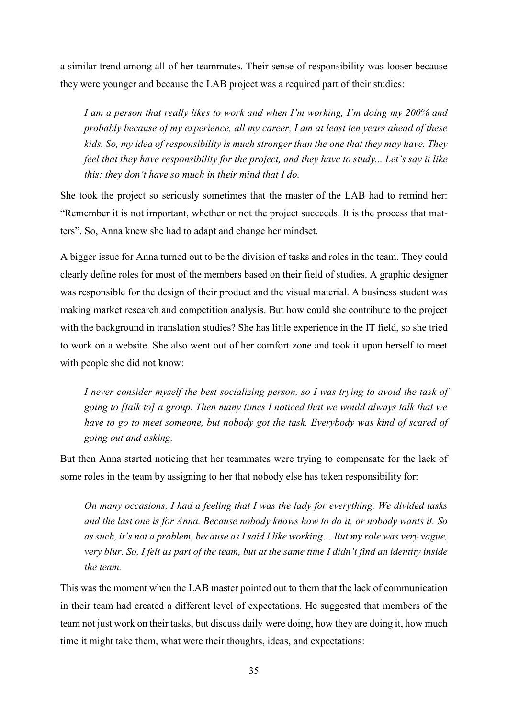a similar trend among all of her teammates. Their sense of responsibility was looser because they were younger and because the LAB project was a required part of their studies:

*I am a person that really likes to work and when I'm working, I'm doing my 200% and probably because of my experience, all my career, I am at least ten years ahead of these kids. So, my idea of responsibility is much stronger than the one that they may have. They feel that they have responsibility for the project, and they have to study... Let's say it like this: they don't have so much in their mind that I do.*

She took the project so seriously sometimes that the master of the LAB had to remind her: "Remember it is not important, whether or not the project succeeds. It is the process that matters". So, Anna knew she had to adapt and change her mindset.

A bigger issue for Anna turned out to be the division of tasks and roles in the team. They could clearly define roles for most of the members based on their field of studies. A graphic designer was responsible for the design of their product and the visual material. A business student was making market research and competition analysis. But how could she contribute to the project with the background in translation studies? She has little experience in the IT field, so she tried to work on a website. She also went out of her comfort zone and took it upon herself to meet with people she did not know:

*I never consider myself the best socializing person, so I was trying to avoid the task of going to [talk to] a group. Then many times I noticed that we would always talk that we have to go to meet someone, but nobody got the task. Everybody was kind of scared of going out and asking.* 

But then Anna started noticing that her teammates were trying to compensate for the lack of some roles in the team by assigning to her that nobody else has taken responsibility for:

*On many occasions, I had a feeling that I was the lady for everything. We divided tasks and the last one is for Anna. Because nobody knows how to do it, or nobody wants it. So as such, it's not a problem, because as I said I like working… But my role was very vague, very blur. So, I felt as part of the team, but at the same time I didn't find an identity inside the team.* 

This was the moment when the LAB master pointed out to them that the lack of communication in their team had created a different level of expectations. He suggested that members of the team not just work on their tasks, but discuss daily were doing, how they are doing it, how much time it might take them, what were their thoughts, ideas, and expectations: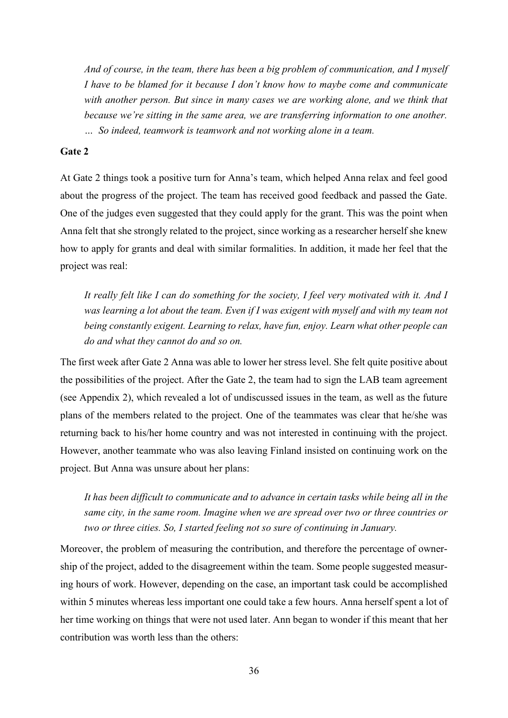*And of course, in the team, there has been a big problem of communication, and I myself I have to be blamed for it because I don't know how to maybe come and communicate with another person. But since in many cases we are working alone, and we think that because we're sitting in the same area, we are transferring information to one another. … So indeed, teamwork is teamwork and not working alone in a team.* 

#### **Gate 2**

At Gate 2 things took a positive turn for Anna's team, which helped Anna relax and feel good about the progress of the project. The team has received good feedback and passed the Gate. One of the judges even suggested that they could apply for the grant. This was the point when Anna felt that she strongly related to the project, since working as a researcher herself she knew how to apply for grants and deal with similar formalities. In addition, it made her feel that the project was real:

*It really felt like I can do something for the society, I feel very motivated with it. And I was learning a lot about the team. Even if I was exigent with myself and with my team not being constantly exigent. Learning to relax, have fun, enjoy. Learn what other people can do and what they cannot do and so on.* 

The first week after Gate 2 Anna was able to lower her stress level. She felt quite positive about the possibilities of the project. After the Gate 2, the team had to sign the LAB team agreement (see Appendix 2), which revealed a lot of undiscussed issues in the team, as well as the future plans of the members related to the project. One of the teammates was clear that he/she was returning back to his/her home country and was not interested in continuing with the project. However, another teammate who was also leaving Finland insisted on continuing work on the project. But Anna was unsure about her plans:

*It has been difficult to communicate and to advance in certain tasks while being all in the same city, in the same room. Imagine when we are spread over two or three countries or two or three cities. So, I started feeling not so sure of continuing in January.* 

Moreover, the problem of measuring the contribution, and therefore the percentage of ownership of the project, added to the disagreement within the team. Some people suggested measuring hours of work. However, depending on the case, an important task could be accomplished within 5 minutes whereas less important one could take a few hours. Anna herself spent a lot of her time working on things that were not used later. Ann began to wonder if this meant that her contribution was worth less than the others: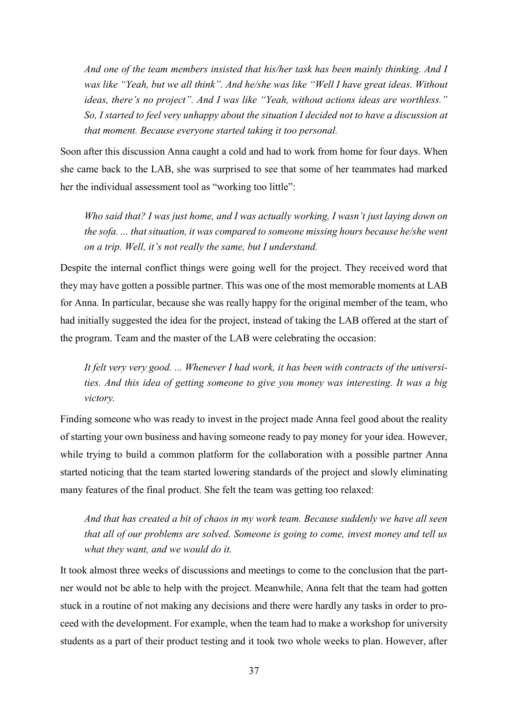*And one of the team members insisted that his/her task has been mainly thinking. And I*  was like "Yeah, but we all think". And he/she was like "Well I have great ideas. Without *ideas, there's no project". And I was like "Yeah, without actions ideas are worthless." So, I started to feel very unhappy about the situation I decided not to have a discussion at that moment. Because everyone started taking it too personal.* 

Soon after this discussion Anna caught a cold and had to work from home for four days. When she came back to the LAB, she was surprised to see that some of her teammates had marked her the individual assessment tool as "working too little":

*Who said that? I was just home, and I was actually working, I wasn't just laying down on the sofa. ... that situation, it was compared to someone missing hours because he/she went on a trip. Well, it's not really the same, but I understand.* 

Despite the internal conflict things were going well for the project. They received word that they may have gotten a possible partner. This was one of the most memorable moments at LAB for Anna. In particular, because she was really happy for the original member of the team, who had initially suggested the idea for the project, instead of taking the LAB offered at the start of the program. Team and the master of the LAB were celebrating the occasion:

*It felt very very good. ... Whenever I had work, it has been with contracts of the universities. And this idea of getting someone to give you money was interesting. It was a big victory.* 

Finding someone who was ready to invest in the project made Anna feel good about the reality of starting your own business and having someone ready to pay money for your idea. However, while trying to build a common platform for the collaboration with a possible partner Anna started noticing that the team started lowering standards of the project and slowly eliminating many features of the final product. She felt the team was getting too relaxed:

*And that has created a bit of chaos in my work team. Because suddenly we have all seen that all of our problems are solved. Someone is going to come, invest money and tell us what they want, and we would do it.* 

It took almost three weeks of discussions and meetings to come to the conclusion that the partner would not be able to help with the project. Meanwhile, Anna felt that the team had gotten stuck in a routine of not making any decisions and there were hardly any tasks in order to proceed with the development. For example, when the team had to make a workshop for university students as a part of their product testing and it took two whole weeks to plan. However, after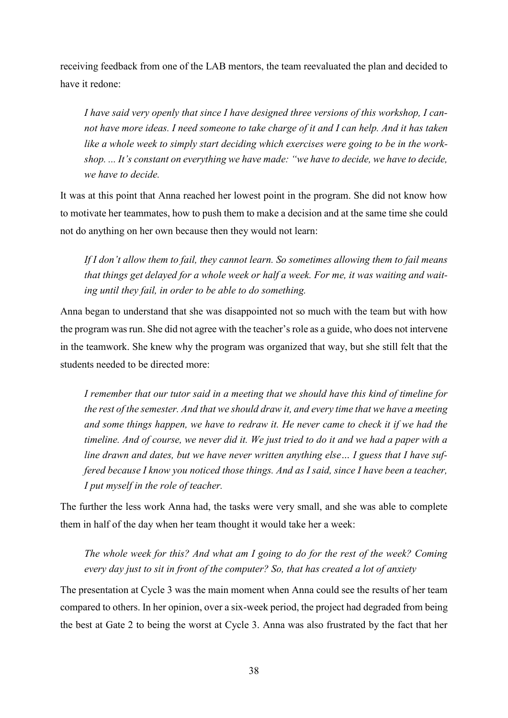receiving feedback from one of the LAB mentors, the team reevaluated the plan and decided to have it redone:

*I have said very openly that since I have designed three versions of this workshop, I cannot have more ideas. I need someone to take charge of it and I can help. And it has taken like a whole week to simply start deciding which exercises were going to be in the workshop. ... It's constant on everything we have made: "we have to decide, we have to decide, we have to decide.* 

It was at this point that Anna reached her lowest point in the program. She did not know how to motivate her teammates, how to push them to make a decision and at the same time she could not do anything on her own because then they would not learn:

*If I don't allow them to fail, they cannot learn. So sometimes allowing them to fail means that things get delayed for a whole week or half a week. For me, it was waiting and waiting until they fail, in order to be able to do something.* 

Anna began to understand that she was disappointed not so much with the team but with how the program was run. She did not agree with the teacher's role as a guide, who does not intervene in the teamwork. She knew why the program was organized that way, but she still felt that the students needed to be directed more:

*I remember that our tutor said in a meeting that we should have this kind of timeline for the rest of the semester. And that we should draw it, and every time that we have a meeting and some things happen, we have to redraw it. He never came to check it if we had the timeline. And of course, we never did it. We just tried to do it and we had a paper with a line drawn and dates, but we have never written anything else… I guess that I have suffered because I know you noticed those things. And as I said, since I have been a teacher, I put myself in the role of teacher.* 

The further the less work Anna had, the tasks were very small, and she was able to complete them in half of the day when her team thought it would take her a week:

*The whole week for this? And what am I going to do for the rest of the week? Coming every day just to sit in front of the computer? So, that has created a lot of anxiety* 

The presentation at Cycle 3 was the main moment when Anna could see the results of her team compared to others. In her opinion, over a six-week period, the project had degraded from being the best at Gate 2 to being the worst at Cycle 3. Anna was also frustrated by the fact that her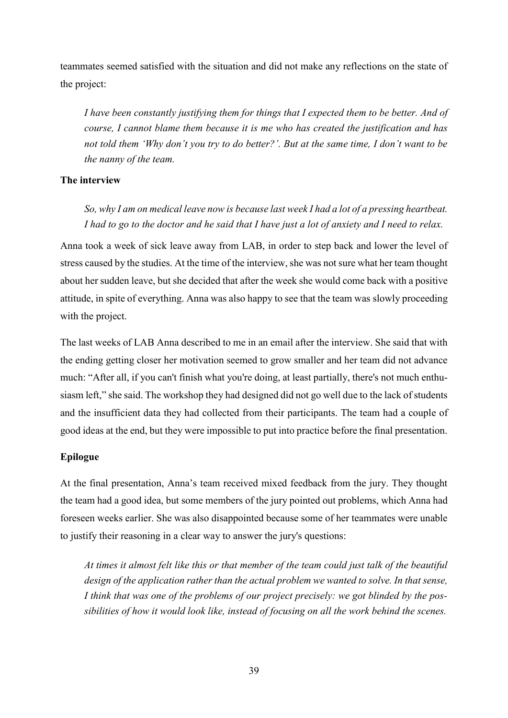teammates seemed satisfied with the situation and did not make any reflections on the state of the project:

*I have been constantly justifying them for things that I expected them to be better. And of course, I cannot blame them because it is me who has created the justification and has not told them 'Why don't you try to do better?'. But at the same time, I don't want to be the nanny of the team.* 

## **The interview**

*So, why I am on medical leave now is because last week I had a lot of a pressing heartbeat. I had to go to the doctor and he said that I have just a lot of anxiety and I need to relax.* 

Anna took a week of sick leave away from LAB, in order to step back and lower the level of stress caused by the studies. At the time of the interview, she was not sure what her team thought about her sudden leave, but she decided that after the week she would come back with a positive attitude, in spite of everything. Anna was also happy to see that the team was slowly proceeding with the project.

The last weeks of LAB Anna described to me in an email after the interview. She said that with the ending getting closer her motivation seemed to grow smaller and her team did not advance much: "After all, if you can't finish what you're doing, at least partially, there's not much enthusiasm left," she said. The workshop they had designed did not go well due to the lack of students and the insufficient data they had collected from their participants. The team had a couple of good ideas at the end, but they were impossible to put into practice before the final presentation.

## **Epilogue**

At the final presentation, Anna's team received mixed feedback from the jury. They thought the team had a good idea, but some members of the jury pointed out problems, which Anna had foreseen weeks earlier. She was also disappointed because some of her teammates were unable to justify their reasoning in a clear way to answer the jury's questions:

*At times it almost felt like this or that member of the team could just talk of the beautiful design of the application rather than the actual problem we wanted to solve. In that sense, I think that was one of the problems of our project precisely: we got blinded by the possibilities of how it would look like, instead of focusing on all the work behind the scenes.*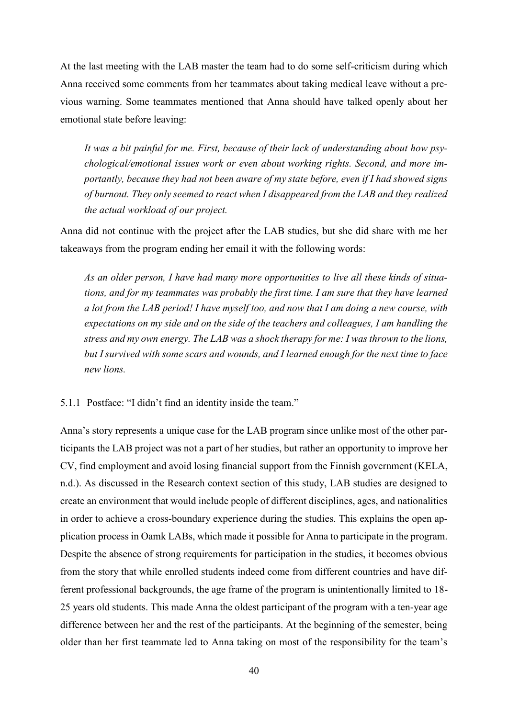At the last meeting with the LAB master the team had to do some self-criticism during which Anna received some comments from her teammates about taking medical leave without a previous warning. Some teammates mentioned that Anna should have talked openly about her emotional state before leaving:

*It was a bit painful for me. First, because of their lack of understanding about how psychological/emotional issues work or even about working rights. Second, and more importantly, because they had not been aware of my state before, even if I had showed signs of burnout. They only seemed to react when I disappeared from the LAB and they realized the actual workload of our project.* 

Anna did not continue with the project after the LAB studies, but she did share with me her takeaways from the program ending her email it with the following words:

*As an older person, I have had many more opportunities to live all these kinds of situations, and for my teammates was probably the first time. I am sure that they have learned a lot from the LAB period! I have myself too, and now that I am doing a new course, with expectations on my side and on the side of the teachers and colleagues, I am handling the stress and my own energy. The LAB was a shock therapy for me: I was thrown to the lions, but I survived with some scars and wounds, and I learned enough for the next time to face new lions.* 

<span id="page-39-0"></span>5.1.1 Postface: "I didn't find an identity inside the team."

Anna's story represents a unique case for the LAB program since unlike most of the other participants the LAB project was not a part of her studies, but rather an opportunity to improve her CV, find employment and avoid losing financial support from the Finnish government (KELA, n.d.). As discussed in the Research context section of this study, LAB studies are designed to create an environment that would include people of different disciplines, ages, and nationalities in order to achieve a cross-boundary experience during the studies. This explains the open application process in Oamk LABs, which made it possible for Anna to participate in the program. Despite the absence of strong requirements for participation in the studies, it becomes obvious from the story that while enrolled students indeed come from different countries and have different professional backgrounds, the age frame of the program is unintentionally limited to 18- 25 years old students. This made Anna the oldest participant of the program with a ten-year age difference between her and the rest of the participants. At the beginning of the semester, being older than her first teammate led to Anna taking on most of the responsibility for the team's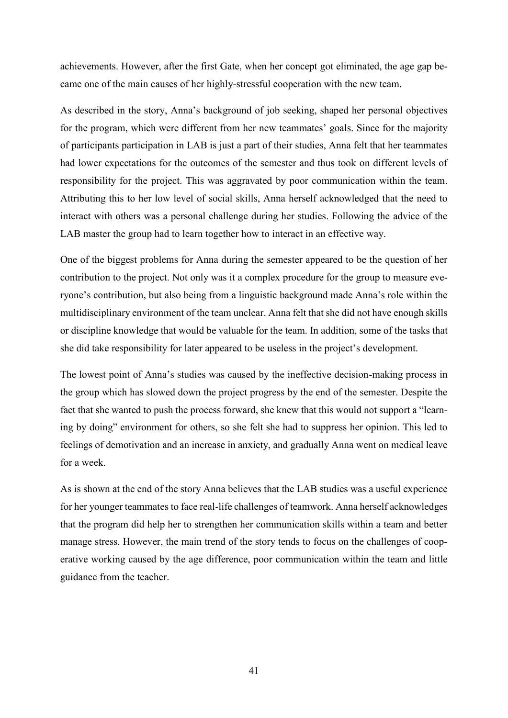achievements. However, after the first Gate, when her concept got eliminated, the age gap became one of the main causes of her highly-stressful cooperation with the new team.

As described in the story, Anna's background of job seeking, shaped her personal objectives for the program, which were different from her new teammates' goals. Since for the majority of participants participation in LAB is just a part of their studies, Anna felt that her teammates had lower expectations for the outcomes of the semester and thus took on different levels of responsibility for the project. This was aggravated by poor communication within the team. Attributing this to her low level of social skills, Anna herself acknowledged that the need to interact with others was a personal challenge during her studies. Following the advice of the LAB master the group had to learn together how to interact in an effective way.

One of the biggest problems for Anna during the semester appeared to be the question of her contribution to the project. Not only was it a complex procedure for the group to measure everyone's contribution, but also being from a linguistic background made Anna's role within the multidisciplinary environment of the team unclear. Anna felt that she did not have enough skills or discipline knowledge that would be valuable for the team. In addition, some of the tasks that she did take responsibility for later appeared to be useless in the project's development.

The lowest point of Anna's studies was caused by the ineffective decision-making process in the group which has slowed down the project progress by the end of the semester. Despite the fact that she wanted to push the process forward, she knew that this would not support a "learning by doing" environment for others, so she felt she had to suppress her opinion. This led to feelings of demotivation and an increase in anxiety, and gradually Anna went on medical leave for a week.

As is shown at the end of the story Anna believes that the LAB studies was a useful experience for her younger teammates to face real-life challenges of teamwork. Anna herself acknowledges that the program did help her to strengthen her communication skills within a team and better manage stress. However, the main trend of the story tends to focus on the challenges of cooperative working caused by the age difference, poor communication within the team and little guidance from the teacher.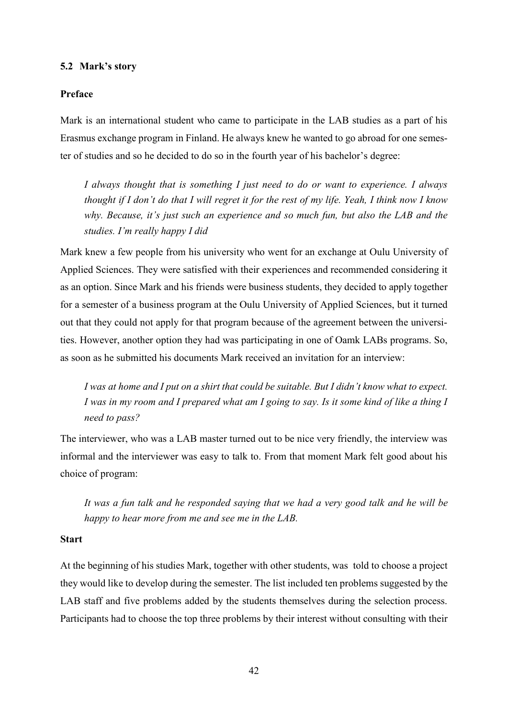#### <span id="page-41-0"></span>**5.2 Mark's story**

#### **Preface**

Mark is an international student who came to participate in the LAB studies as a part of his Erasmus exchange program in Finland. He always knew he wanted to go abroad for one semester of studies and so he decided to do so in the fourth year of his bachelor's degree:

*I always thought that is something I just need to do or want to experience. I always thought if I don't do that I will regret it for the rest of my life. Yeah, I think now I know why. Because, it's just such an experience and so much fun, but also the LAB and the studies. I'm really happy I did*

Mark knew a few people from his university who went for an exchange at Oulu University of Applied Sciences. They were satisfied with their experiences and recommended considering it as an option. Since Mark and his friends were business students, they decided to apply together for a semester of a business program at the Oulu University of Applied Sciences, but it turned out that they could not apply for that program because of the agreement between the universities. However, another option they had was participating in one of Oamk LABs programs. So, as soon as he submitted his documents Mark received an invitation for an interview:

*I was at home and I put on a shirt that could be suitable. But I didn't know what to expect. I was in my room and I prepared what am I going to say. Is it some kind of like a thing I need to pass?* 

The interviewer, who was a LAB master turned out to be nice very friendly, the interview was informal and the interviewer was easy to talk to. From that moment Mark felt good about his choice of program:

*It was a fun talk and he responded saying that we had a very good talk and he will be happy to hear more from me and see me in the LAB.* 

## **Start**

At the beginning of his studies Mark, together with other students, was told to choose a project they would like to develop during the semester. The list included ten problems suggested by the LAB staff and five problems added by the students themselves during the selection process. Participants had to choose the top three problems by their interest without consulting with their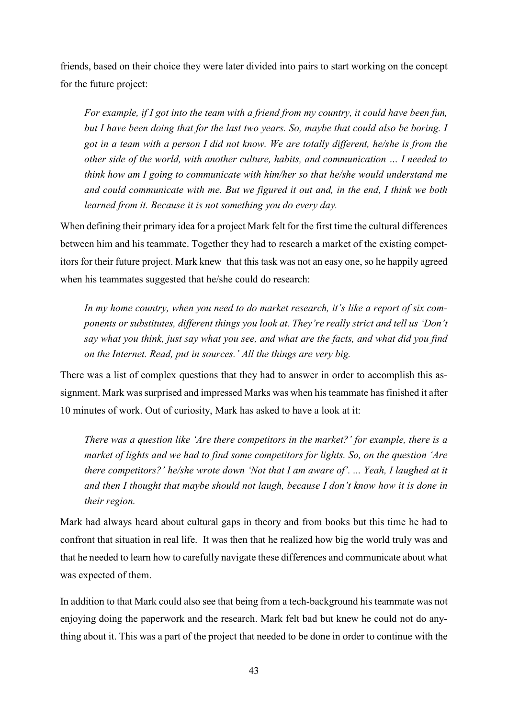friends, based on their choice they were later divided into pairs to start working on the concept for the future project:

*For example, if I got into the team with a friend from my country, it could have been fun, but I have been doing that for the last two years. So, maybe that could also be boring. I got in a team with a person I did not know. We are totally different, he/she is from the other side of the world, with another culture, habits, and communication … I needed to think how am I going to communicate with him/her so that he/she would understand me and could communicate with me. But we figured it out and, in the end, I think we both learned from it. Because it is not something you do every day.* 

When defining their primary idea for a project Mark felt for the first time the cultural differences between him and his teammate. Together they had to research a market of the existing competitors for their future project. Mark knew that this task was not an easy one, so he happily agreed when his teammates suggested that he/she could do research:

*In my home country, when you need to do market research, it's like a report of six components or substitutes, different things you look at. They're really strict and tell us 'Don't say what you think, just say what you see, and what are the facts, and what did you find on the Internet. Read, put in sources.' All the things are very big.*

There was a list of complex questions that they had to answer in order to accomplish this assignment. Mark was surprised and impressed Marks was when his teammate has finished it after 10 minutes of work. Out of curiosity, Mark has asked to have a look at it:

*There was a question like 'Are there competitors in the market?' for example, there is a market of lights and we had to find some competitors for lights. So, on the question 'Are there competitors?' he/she wrote down 'Not that I am aware of'. ... Yeah, I laughed at it and then I thought that maybe should not laugh, because I don't know how it is done in their region.* 

Mark had always heard about cultural gaps in theory and from books but this time he had to confront that situation in real life. It was then that he realized how big the world truly was and that he needed to learn how to carefully navigate these differences and communicate about what was expected of them.

In addition to that Mark could also see that being from a tech-background his teammate was not enjoying doing the paperwork and the research. Mark felt bad but knew he could not do anything about it. This was a part of the project that needed to be done in order to continue with the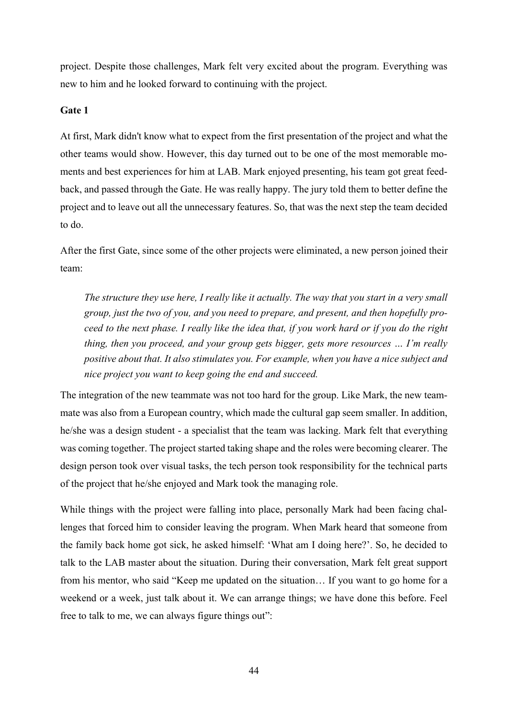project. Despite those challenges, Mark felt very excited about the program. Everything was new to him and he looked forward to continuing with the project.

## **Gate 1**

At first, Mark didn't know what to expect from the first presentation of the project and what the other teams would show. However, this day turned out to be one of the most memorable moments and best experiences for him at LAB. Mark enjoyed presenting, his team got great feedback, and passed through the Gate. He was really happy. The jury told them to better define the project and to leave out all the unnecessary features. So, that was the next step the team decided to do.

After the first Gate, since some of the other projects were eliminated, a new person joined their team:

*The structure they use here, I really like it actually. The way that you start in a very small group, just the two of you, and you need to prepare, and present, and then hopefully proceed to the next phase. I really like the idea that, if you work hard or if you do the right thing, then you proceed, and your group gets bigger, gets more resources … I'm really positive about that. It also stimulates you. For example, when you have a nice subject and nice project you want to keep going the end and succeed.* 

The integration of the new teammate was not too hard for the group. Like Mark, the new teammate was also from a European country, which made the cultural gap seem smaller. In addition, he/she was a design student - a specialist that the team was lacking. Mark felt that everything was coming together. The project started taking shape and the roles were becoming clearer. The design person took over visual tasks, the tech person took responsibility for the technical parts of the project that he/she enjoyed and Mark took the managing role.

While things with the project were falling into place, personally Mark had been facing challenges that forced him to consider leaving the program. When Mark heard that someone from the family back home got sick, he asked himself: 'What am I doing here?'. So, he decided to talk to the LAB master about the situation. During their conversation, Mark felt great support from his mentor, who said "Keep me updated on the situation… If you want to go home for a weekend or a week, just talk about it. We can arrange things; we have done this before. Feel free to talk to me, we can always figure things out":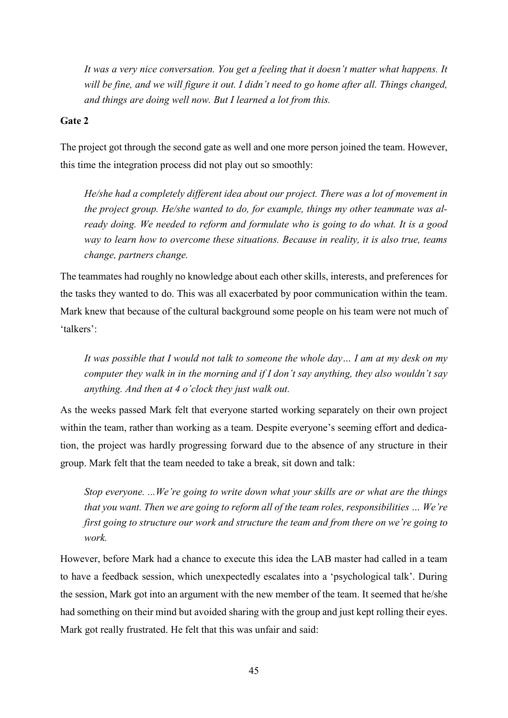*It was a very nice conversation. You get a feeling that it doesn't matter what happens. It will be fine, and we will figure it out. I didn't need to go home after all. Things changed, and things are doing well now. But I learned a lot from this.* 

## **Gate 2**

The project got through the second gate as well and one more person joined the team. However, this time the integration process did not play out so smoothly:

*He/she had a completely different idea about our project. There was a lot of movement in the project group. He/she wanted to do, for example, things my other teammate was already doing. We needed to reform and formulate who is going to do what. It is a good way to learn how to overcome these situations. Because in reality, it is also true, teams change, partners change.* 

The teammates had roughly no knowledge about each other skills, interests, and preferences for the tasks they wanted to do. This was all exacerbated by poor communication within the team. Mark knew that because of the cultural background some people on his team were not much of 'talkers':

*It was possible that I would not talk to someone the whole day... I am at my desk on my computer they walk in in the morning and if I don't say anything, they also wouldn't say anything. And then at 4 o'clock they just walk out.* 

As the weeks passed Mark felt that everyone started working separately on their own project within the team, rather than working as a team. Despite everyone's seeming effort and dedication, the project was hardly progressing forward due to the absence of any structure in their group. Mark felt that the team needed to take a break, sit down and talk:

*Stop everyone. ...We're going to write down what your skills are or what are the things that you want. Then we are going to reform all of the team roles, responsibilities … We're first going to structure our work and structure the team and from there on we're going to work.* 

However, before Mark had a chance to execute this idea the LAB master had called in a team to have a feedback session, which unexpectedly escalates into a 'psychological talk'. During the session, Mark got into an argument with the new member of the team. It seemed that he/she had something on their mind but avoided sharing with the group and just kept rolling their eyes. Mark got really frustrated. He felt that this was unfair and said: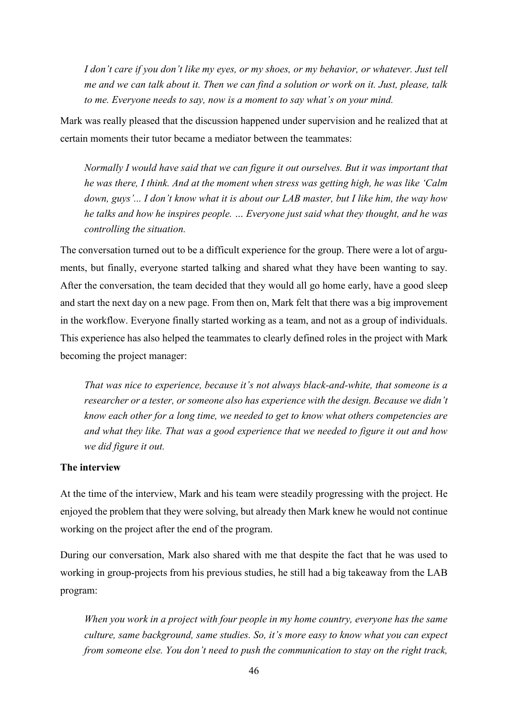*I don't care if you don't like my eyes, or my shoes, or my behavior, or whatever. Just tell me and we can talk about it. Then we can find a solution or work on it. Just, please, talk to me. Everyone needs to say, now is a moment to say what's on your mind.*

Mark was really pleased that the discussion happened under supervision and he realized that at certain moments their tutor became a mediator between the teammates:

*Normally I would have said that we can figure it out ourselves. But it was important that he was there, I think. And at the moment when stress was getting high, he was like 'Calm down, guys'... I don't know what it is about our LAB master, but I like him, the way how he talks and how he inspires people. … Everyone just said what they thought, and he was controlling the situation.* 

The conversation turned out to be a difficult experience for the group. There were a lot of arguments, but finally, everyone started talking and shared what they have been wanting to say. After the conversation, the team decided that they would all go home early, have a good sleep and start the next day on a new page. From then on, Mark felt that there was a big improvement in the workflow. Everyone finally started working as a team, and not as a group of individuals. This experience has also helped the teammates to clearly defined roles in the project with Mark becoming the project manager:

*That was nice to experience, because it's not always black-and-white, that someone is a researcher or a tester, or someone also has experience with the design. Because we didn't know each other for a long time, we needed to get to know what others competencies are and what they like. That was a good experience that we needed to figure it out and how we did figure it out.* 

## **The interview**

At the time of the interview, Mark and his team were steadily progressing with the project. He enjoyed the problem that they were solving, but already then Mark knew he would not continue working on the project after the end of the program.

During our conversation, Mark also shared with me that despite the fact that he was used to working in group-projects from his previous studies, he still had a big takeaway from the LAB program:

*When you work in a project with four people in my home country, everyone has the same culture, same background, same studies. So, it's more easy to know what you can expect from someone else. You don't need to push the communication to stay on the right track,*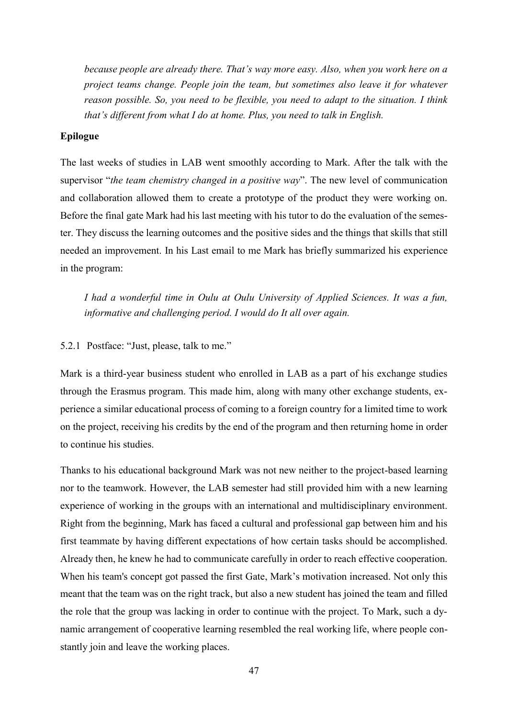*because people are already there. That's way more easy. Also, when you work here on a project teams change. People join the team, but sometimes also leave it for whatever reason possible. So, you need to be flexible, you need to adapt to the situation. I think that's different from what I do at home. Plus, you need to talk in English.*

#### **Epilogue**

The last weeks of studies in LAB went smoothly according to Mark. After the talk with the supervisor "*the team chemistry changed in a positive way*". The new level of communication and collaboration allowed them to create a prototype of the product they were working on. Before the final gate Mark had his last meeting with his tutor to do the evaluation of the semester. They discuss the learning outcomes and the positive sides and the things that skills that still needed an improvement. In his Last email to me Mark has briefly summarized his experience in the program:

*I had a wonderful time in Oulu at Oulu University of Applied Sciences. It was a fun, informative and challenging period. I would do It all over again.* 

#### <span id="page-46-0"></span>5.2.1 Postface: "Just, please, talk to me."

Mark is a third-year business student who enrolled in LAB as a part of his exchange studies through the Erasmus program. This made him, along with many other exchange students, experience a similar educational process of coming to a foreign country for a limited time to work on the project, receiving his credits by the end of the program and then returning home in order to continue his studies.

Thanks to his educational background Mark was not new neither to the project-based learning nor to the teamwork. However, the LAB semester had still provided him with a new learning experience of working in the groups with an international and multidisciplinary environment. Right from the beginning, Mark has faced a cultural and professional gap between him and his first teammate by having different expectations of how certain tasks should be accomplished. Already then, he knew he had to communicate carefully in order to reach effective cooperation. When his team's concept got passed the first Gate, Mark's motivation increased. Not only this meant that the team was on the right track, but also a new student has joined the team and filled the role that the group was lacking in order to continue with the project. To Mark, such a dynamic arrangement of cooperative learning resembled the real working life, where people constantly join and leave the working places.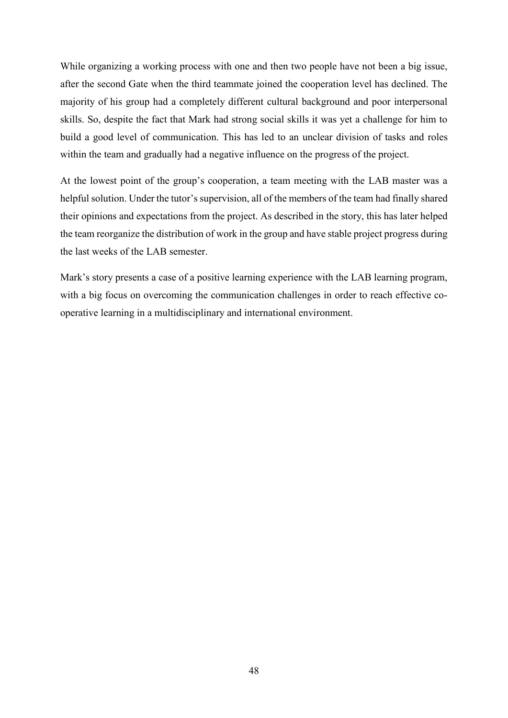While organizing a working process with one and then two people have not been a big issue, after the second Gate when the third teammate joined the cooperation level has declined. The majority of his group had a completely different cultural background and poor interpersonal skills. So, despite the fact that Mark had strong social skills it was yet a challenge for him to build a good level of communication. This has led to an unclear division of tasks and roles within the team and gradually had a negative influence on the progress of the project.

At the lowest point of the group's cooperation, a team meeting with the LAB master was a helpful solution. Under the tutor's supervision, all of the members of the team had finally shared their opinions and expectations from the project. As described in the story, this has later helped the team reorganize the distribution of work in the group and have stable project progress during the last weeks of the LAB semester.

Mark's story presents a case of a positive learning experience with the LAB learning program, with a big focus on overcoming the communication challenges in order to reach effective cooperative learning in a multidisciplinary and international environment.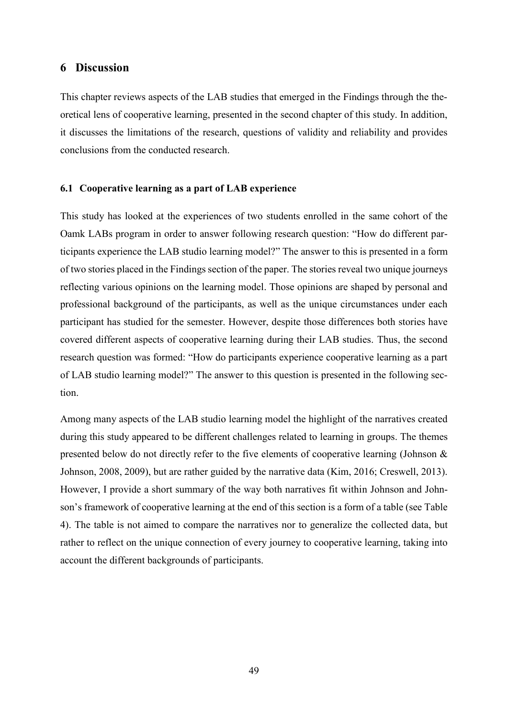## <span id="page-48-0"></span>**6 Discussion**

This chapter reviews aspects of the LAB studies that emerged in the Findings through the theoretical lens of cooperative learning, presented in the second chapter of this study. In addition, it discusses the limitations of the research, questions of validity and reliability and provides conclusions from the conducted research.

#### <span id="page-48-1"></span>**6.1 Cooperative learning as a part of LAB experience**

This study has looked at the experiences of two students enrolled in the same cohort of the Oamk LABs program in order to answer following research question: "How do different participants experience the LAB studio learning model?" The answer to this is presented in a form of two stories placed in the Findings section of the paper. The stories reveal two unique journeys reflecting various opinions on the learning model. Those opinions are shaped by personal and professional background of the participants, as well as the unique circumstances under each participant has studied for the semester. However, despite those differences both stories have covered different aspects of cooperative learning during their LAB studies. Thus, the second research question was formed: "How do participants experience cooperative learning as a part of LAB studio learning model?" The answer to this question is presented in the following section.

Among many aspects of the LAB studio learning model the highlight of the narratives created during this study appeared to be different challenges related to learning in groups. The themes presented below do not directly refer to the five elements of cooperative learning (Johnson  $\&$ Johnson, 2008, 2009), but are rather guided by the narrative data (Kim, 2016; Creswell, 2013). However, I provide a short summary of the way both narratives fit within Johnson and Johnson's framework of cooperative learning at the end of this section is a form of a table (see Table 4). The table is not aimed to compare the narratives nor to generalize the collected data, but rather to reflect on the unique connection of every journey to cooperative learning, taking into account the different backgrounds of participants.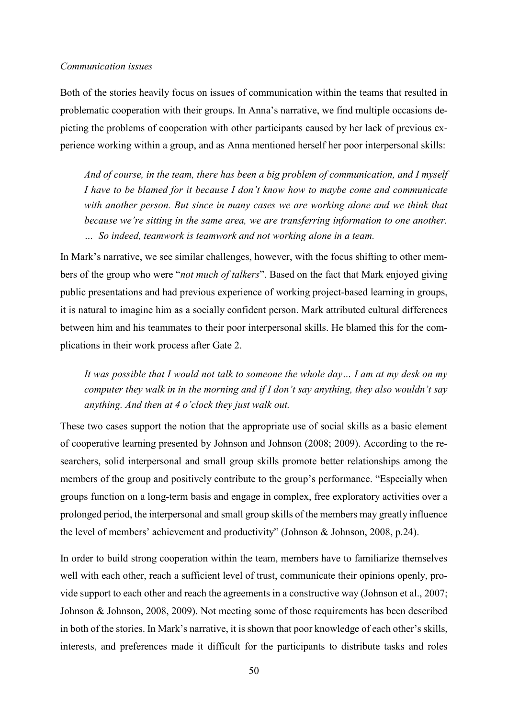#### *Communication issues*

Both of the stories heavily focus on issues of communication within the teams that resulted in problematic cooperation with their groups. In Anna's narrative, we find multiple occasions depicting the problems of cooperation with other participants caused by her lack of previous experience working within a group, and as Anna mentioned herself her poor interpersonal skills:

*And of course, in the team, there has been a big problem of communication, and I myself I have to be blamed for it because I don't know how to maybe come and communicate*  with another person. But since in many cases we are working alone and we think that *because we're sitting in the same area, we are transferring information to one another. … So indeed, teamwork is teamwork and not working alone in a team.* 

In Mark's narrative, we see similar challenges, however, with the focus shifting to other members of the group who were "*not much of talkers*". Based on the fact that Mark enjoyed giving public presentations and had previous experience of working project-based learning in groups, it is natural to imagine him as a socially confident person. Mark attributed cultural differences between him and his teammates to their poor interpersonal skills. He blamed this for the complications in their work process after Gate 2.

*It was possible that I would not talk to someone the whole day… I am at my desk on my computer they walk in in the morning and if I don't say anything, they also wouldn't say anything. And then at 4 o'clock they just walk out.*

These two cases support the notion that the appropriate use of social skills as a basic element of cooperative learning presented by Johnson and Johnson (2008; 2009). According to the researchers, solid interpersonal and small group skills promote better relationships among the members of the group and positively contribute to the group's performance. "Especially when groups function on a long-term basis and engage in complex, free exploratory activities over a prolonged period, the interpersonal and small group skills of the members may greatly influence the level of members' achievement and productivity" (Johnson & Johnson, 2008, p.24).

In order to build strong cooperation within the team, members have to familiarize themselves well with each other, reach a sufficient level of trust, communicate their opinions openly, provide support to each other and reach the agreements in a constructive way (Johnson et al., 2007; Johnson & Johnson, 2008, 2009). Not meeting some of those requirements has been described in both of the stories. In Mark's narrative, it is shown that poor knowledge of each other's skills, interests, and preferences made it difficult for the participants to distribute tasks and roles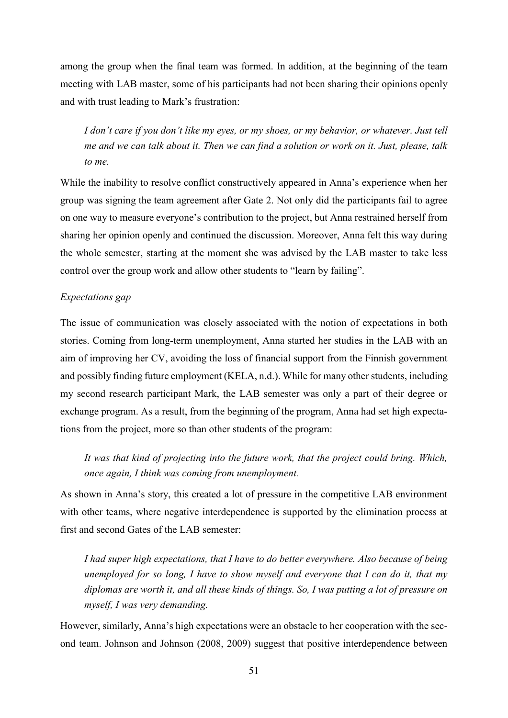among the group when the final team was formed. In addition, at the beginning of the team meeting with LAB master, some of his participants had not been sharing their opinions openly and with trust leading to Mark's frustration:

*I don't care if you don't like my eyes, or my shoes, or my behavior, or whatever. Just tell me and we can talk about it. Then we can find a solution or work on it. Just, please, talk to me.* 

While the inability to resolve conflict constructively appeared in Anna's experience when her group was signing the team agreement after Gate 2. Not only did the participants fail to agree on one way to measure everyone's contribution to the project, but Anna restrained herself from sharing her opinion openly and continued the discussion. Moreover, Anna felt this way during the whole semester, starting at the moment she was advised by the LAB master to take less control over the group work and allow other students to "learn by failing".

## *Expectations gap*

The issue of communication was closely associated with the notion of expectations in both stories. Coming from long-term unemployment, Anna started her studies in the LAB with an aim of improving her CV, avoiding the loss of financial support from the Finnish government and possibly finding future employment (KELA, n.d.). While for many other students, including my second research participant Mark, the LAB semester was only a part of their degree or exchange program. As a result, from the beginning of the program, Anna had set high expectations from the project, more so than other students of the program:

*It was that kind of projecting into the future work, that the project could bring. Which, once again, I think was coming from unemployment.* 

As shown in Anna's story, this created a lot of pressure in the competitive LAB environment with other teams, where negative interdependence is supported by the elimination process at first and second Gates of the LAB semester:

*I had super high expectations, that I have to do better everywhere. Also because of being unemployed for so long, I have to show myself and everyone that I can do it, that my diplomas are worth it, and all these kinds of things. So, I was putting a lot of pressure on myself, I was very demanding.* 

However, similarly, Anna's high expectations were an obstacle to her cooperation with the second team. Johnson and Johnson (2008, 2009) suggest that positive interdependence between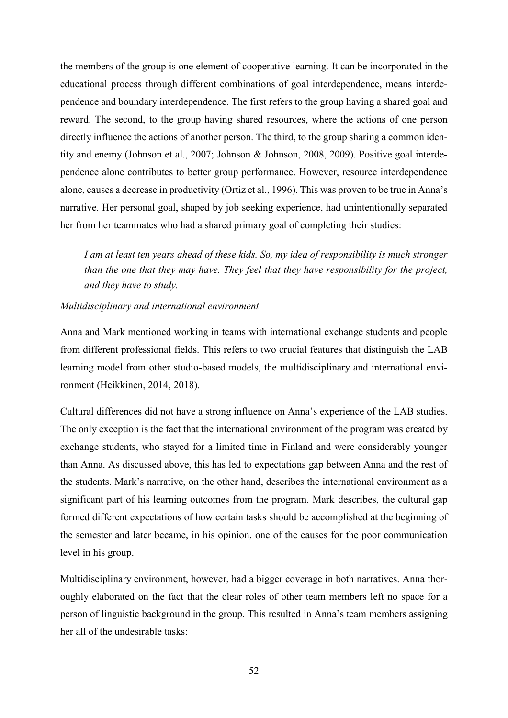the members of the group is one element of cooperative learning. It can be incorporated in the educational process through different combinations of goal interdependence, means interdependence and boundary interdependence. The first refers to the group having a shared goal and reward. The second, to the group having shared resources, where the actions of one person directly influence the actions of another person. The third, to the group sharing a common identity and enemy (Johnson et al., 2007; Johnson & Johnson, 2008, 2009). Positive goal interdependence alone contributes to better group performance. However, resource interdependence alone, causes a decrease in productivity (Ortiz et al., 1996). This was proven to be true in Anna's narrative. Her personal goal, shaped by job seeking experience, had unintentionally separated her from her teammates who had a shared primary goal of completing their studies:

*I am at least ten years ahead of these kids. So, my idea of responsibility is much stronger than the one that they may have. They feel that they have responsibility for the project, and they have to study.* 

#### *Multidisciplinary and international environment*

Anna and Mark mentioned working in teams with international exchange students and people from different professional fields. This refers to two crucial features that distinguish the LAB learning model from other studio-based models, the multidisciplinary and international environment (Heikkinen, 2014, 2018).

Cultural differences did not have a strong influence on Anna's experience of the LAB studies. The only exception is the fact that the international environment of the program was created by exchange students, who stayed for a limited time in Finland and were considerably younger than Anna. As discussed above, this has led to expectations gap between Anna and the rest of the students. Mark's narrative, on the other hand, describes the international environment as a significant part of his learning outcomes from the program. Mark describes, the cultural gap formed different expectations of how certain tasks should be accomplished at the beginning of the semester and later became, in his opinion, one of the causes for the poor communication level in his group.

Multidisciplinary environment, however, had a bigger coverage in both narratives. Anna thoroughly elaborated on the fact that the clear roles of other team members left no space for a person of linguistic background in the group. This resulted in Anna's team members assigning her all of the undesirable tasks: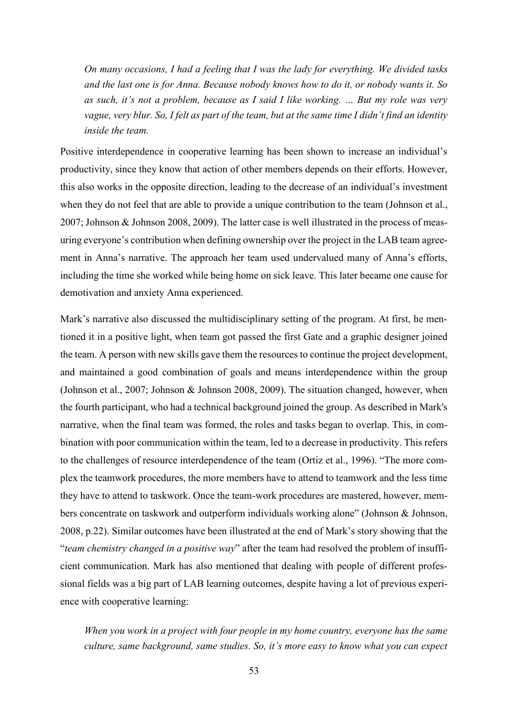*On many occasions, I had a feeling that I was the lady for everything. We divided tasks and the last one is for Anna. Because nobody knows how to do it, or nobody wants it. So as such, it's not a problem, because as I said I like working. … But my role was very vague, very blur. So, I felt as part of the team, but at the same time I didn't find an identity inside the team.* 

Positive interdependence in cooperative learning has been shown to increase an individual's productivity, since they know that action of other members depends on their efforts. However, this also works in the opposite direction, leading to the decrease of an individual's investment when they do not feel that are able to provide a unique contribution to the team (Johnson et al., 2007; Johnson & Johnson 2008, 2009). The latter case is well illustrated in the process of measuring everyone's contribution when defining ownership over the project in the LAB team agreement in Anna's narrative. The approach her team used undervalued many of Anna's efforts, including the time she worked while being home on sick leave. This later became one cause for demotivation and anxiety Anna experienced.

Mark's narrative also discussed the multidisciplinary setting of the program. At first, he mentioned it in a positive light, when team got passed the first Gate and a graphic designer joined the team. A person with new skills gave them the resources to continue the project development, and maintained a good combination of goals and means interdependence within the group (Johnson et al., 2007; Johnson & Johnson 2008, 2009). The situation changed, however, when the fourth participant, who had a technical background joined the group. As described in Mark's narrative, when the final team was formed, the roles and tasks began to overlap. This, in combination with poor communication within the team, led to a decrease in productivity. This refers to the challenges of resource interdependence of the team (Ortiz et al., 1996). "The more complex the teamwork procedures, the more members have to attend to teamwork and the less time they have to attend to taskwork. Once the team-work procedures are mastered, however, members concentrate on taskwork and outperform individuals working alone" (Johnson & Johnson, 2008, p.22). Similar outcomes have been illustrated at the end of Mark's story showing that the "*team chemistry changed in a positive way*" after the team had resolved the problem of insufficient communication. Mark has also mentioned that dealing with people of different professional fields was a big part of LAB learning outcomes, despite having a lot of previous experience with cooperative learning:

*When you work in a project with four people in my home country, everyone has the same culture, same background, same studies. So, it's more easy to know what you can expect*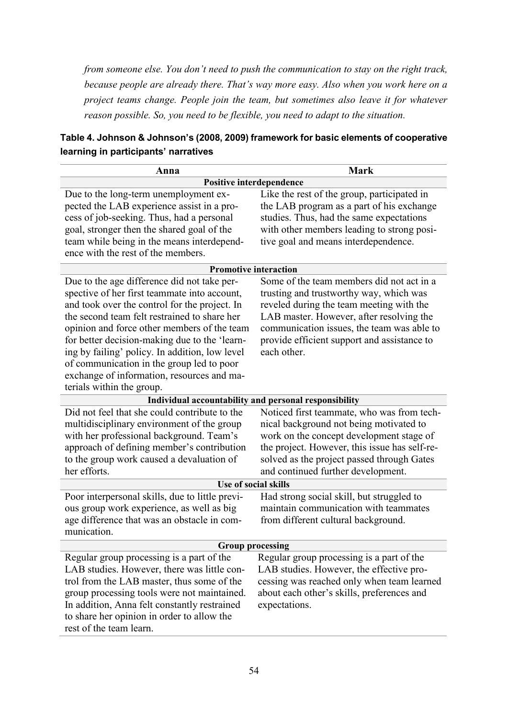*from someone else. You don't need to push the communication to stay on the right track, because people are already there. That's way more easy. Also when you work here on a project teams change. People join the team, but sometimes also leave it for whatever reason possible. So, you need to be flexible, you need to adapt to the situation.* 

| Table 4. Johnson & Johnson's (2008, 2009) framework for basic elements of cooperative |
|---------------------------------------------------------------------------------------|
| learning in participants' narratives                                                  |

| Anna                                                                                                                                                                                                                                                                                                                                                                                                                                                                   | Mark                                                                                                                                                                                                                                                                                     |  |  |
|------------------------------------------------------------------------------------------------------------------------------------------------------------------------------------------------------------------------------------------------------------------------------------------------------------------------------------------------------------------------------------------------------------------------------------------------------------------------|------------------------------------------------------------------------------------------------------------------------------------------------------------------------------------------------------------------------------------------------------------------------------------------|--|--|
| <b>Positive interdependence</b>                                                                                                                                                                                                                                                                                                                                                                                                                                        |                                                                                                                                                                                                                                                                                          |  |  |
| Due to the long-term unemployment ex-<br>pected the LAB experience assist in a pro-<br>cess of job-seeking. Thus, had a personal<br>goal, stronger then the shared goal of the<br>team while being in the means interdepend-<br>ence with the rest of the members.                                                                                                                                                                                                     | Like the rest of the group, participated in<br>the LAB program as a part of his exchange<br>studies. Thus, had the same expectations<br>with other members leading to strong posi-<br>tive goal and means interdependence.                                                               |  |  |
|                                                                                                                                                                                                                                                                                                                                                                                                                                                                        | <b>Promotive interaction</b>                                                                                                                                                                                                                                                             |  |  |
| Due to the age difference did not take per-<br>spective of her first teammate into account,<br>and took over the control for the project. In<br>the second team felt restrained to share her<br>opinion and force other members of the team<br>for better decision-making due to the 'learn-<br>ing by failing' policy. In addition, low level<br>of communication in the group led to poor<br>exchange of information, resources and ma-<br>terials within the group. | Some of the team members did not act in a<br>trusting and trustworthy way, which was<br>reveled during the team meeting with the<br>LAB master. However, after resolving the<br>communication issues, the team was able to<br>provide efficient support and assistance to<br>each other. |  |  |
|                                                                                                                                                                                                                                                                                                                                                                                                                                                                        | Individual accountability and personal responsibility                                                                                                                                                                                                                                    |  |  |
| Did not feel that she could contribute to the<br>multidisciplinary environment of the group<br>with her professional background. Team's<br>approach of defining member's contribution<br>to the group work caused a devaluation of<br>her efforts.                                                                                                                                                                                                                     | Noticed first teammate, who was from tech-<br>nical background not being motivated to<br>work on the concept development stage of<br>the project. However, this issue has self-re-<br>solved as the project passed through Gates<br>and continued further development.                   |  |  |
|                                                                                                                                                                                                                                                                                                                                                                                                                                                                        | Use of social skills                                                                                                                                                                                                                                                                     |  |  |
| Poor interpersonal skills, due to little previ-<br>ous group work experience, as well as big<br>age difference that was an obstacle in com-<br>munication.                                                                                                                                                                                                                                                                                                             | Had strong social skill, but struggled to<br>maintain communication with teammates<br>from different cultural background.                                                                                                                                                                |  |  |
| <b>Group processing</b>                                                                                                                                                                                                                                                                                                                                                                                                                                                |                                                                                                                                                                                                                                                                                          |  |  |
| Regular group processing is a part of the<br>LAB studies. However, there was little con-<br>trol from the LAB master, thus some of the<br>group processing tools were not maintained.<br>In addition, Anna felt constantly restrained<br>to share her opinion in order to allow the<br>rest of the team learn.                                                                                                                                                         | Regular group processing is a part of the<br>LAB studies. However, the effective pro-<br>cessing was reached only when team learned<br>about each other's skills, preferences and<br>expectations.                                                                                       |  |  |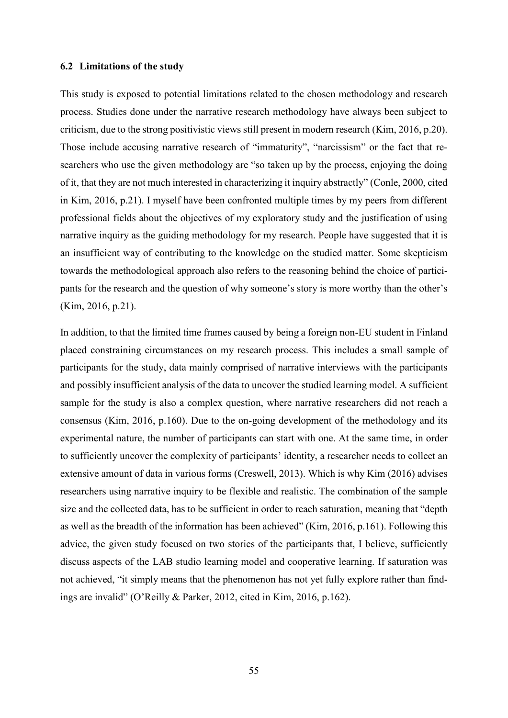#### <span id="page-54-0"></span>**6.2 Limitations of the study**

This study is exposed to potential limitations related to the chosen methodology and research process. Studies done under the narrative research methodology have always been subject to criticism, due to the strong positivistic views still present in modern research (Kim, 2016, p.20). Those include accusing narrative research of "immaturity", "narcissism" or the fact that researchers who use the given methodology are "so taken up by the process, enjoying the doing of it, that they are not much interested in characterizing it inquiry abstractly" (Conle, 2000, cited in Kim, 2016, p.21). I myself have been confronted multiple times by my peers from different professional fields about the objectives of my exploratory study and the justification of using narrative inquiry as the guiding methodology for my research. People have suggested that it is an insufficient way of contributing to the knowledge on the studied matter. Some skepticism towards the methodological approach also refers to the reasoning behind the choice of participants for the research and the question of why someone's story is more worthy than the other's (Kim, 2016, p.21).

In addition, to that the limited time frames caused by being a foreign non-EU student in Finland placed constraining circumstances on my research process. This includes a small sample of participants for the study, data mainly comprised of narrative interviews with the participants and possibly insufficient analysis of the data to uncover the studied learning model. A sufficient sample for the study is also a complex question, where narrative researchers did not reach a consensus (Kim, 2016, p.160). Due to the on-going development of the methodology and its experimental nature, the number of participants can start with one. At the same time, in order to sufficiently uncover the complexity of participants' identity, a researcher needs to collect an extensive amount of data in various forms (Creswell, 2013). Which is why Kim (2016) advises researchers using narrative inquiry to be flexible and realistic. The combination of the sample size and the collected data, has to be sufficient in order to reach saturation, meaning that "depth as well as the breadth of the information has been achieved" (Kim, 2016, p.161). Following this advice, the given study focused on two stories of the participants that, I believe, sufficiently discuss aspects of the LAB studio learning model and cooperative learning. If saturation was not achieved, "it simply means that the phenomenon has not yet fully explore rather than findings are invalid" (O'Reilly & Parker, 2012, cited in Kim, 2016, p.162).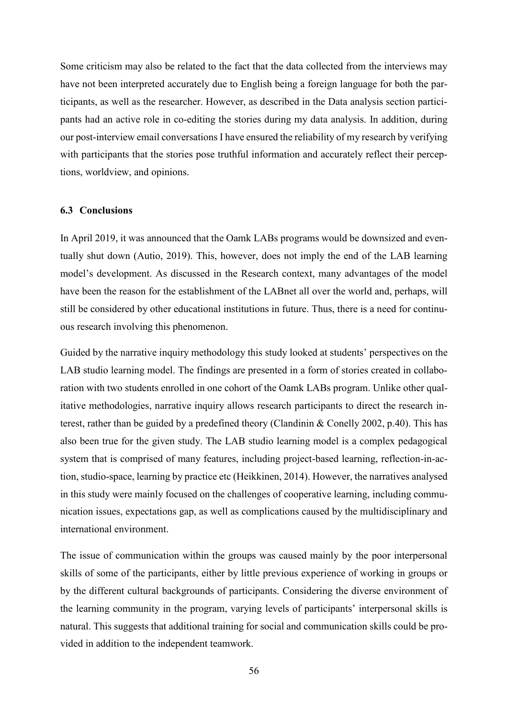Some criticism may also be related to the fact that the data collected from the interviews may have not been interpreted accurately due to English being a foreign language for both the participants, as well as the researcher. However, as described in the Data analysis section participants had an active role in co-editing the stories during my data analysis. In addition, during our post-interview email conversations I have ensured the reliability of my research by verifying with participants that the stories pose truthful information and accurately reflect their perceptions, worldview, and opinions.

#### <span id="page-55-0"></span>**6.3 Conclusions**

In April 2019, it was announced that the Oamk LABs programs would be downsized and eventually shut down (Autio, 2019). This, however, does not imply the end of the LAB learning model's development. As discussed in the Research context, many advantages of the model have been the reason for the establishment of the LABnet all over the world and, perhaps, will still be considered by other educational institutions in future. Thus, there is a need for continuous research involving this phenomenon.

Guided by the narrative inquiry methodology this study looked at students' perspectives on the LAB studio learning model. The findings are presented in a form of stories created in collaboration with two students enrolled in one cohort of the Oamk LABs program. Unlike other qualitative methodologies, narrative inquiry allows research participants to direct the research interest, rather than be guided by a predefined theory (Clandinin & Conelly 2002, p.40). This has also been true for the given study. The LAB studio learning model is a complex pedagogical system that is comprised of many features, including project-based learning, reflection-in-action, studio-space, learning by practice etc (Heikkinen, 2014). However, the narratives analysed in this study were mainly focused on the challenges of cooperative learning, including communication issues, expectations gap, as well as complications caused by the multidisciplinary and international environment.

The issue of communication within the groups was caused mainly by the poor interpersonal skills of some of the participants, either by little previous experience of working in groups or by the different cultural backgrounds of participants. Considering the diverse environment of the learning community in the program, varying levels of participants' interpersonal skills is natural. This suggests that additional training for social and communication skills could be provided in addition to the independent teamwork.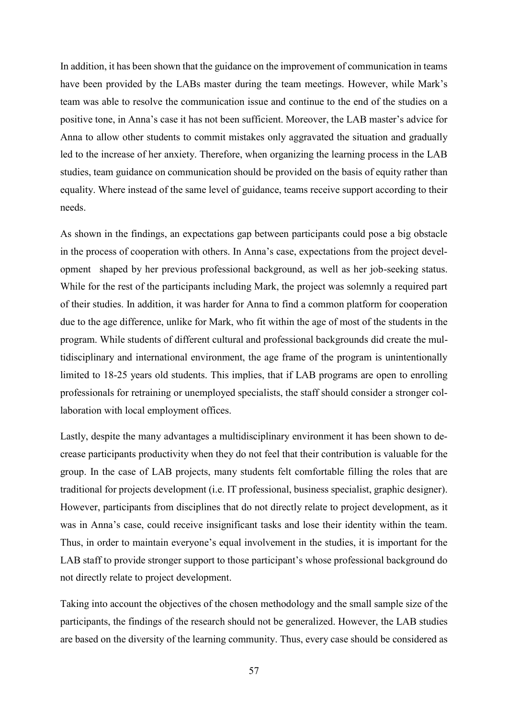In addition, it has been shown that the guidance on the improvement of communication in teams have been provided by the LABs master during the team meetings. However, while Mark's team was able to resolve the communication issue and continue to the end of the studies on a positive tone, in Anna's case it has not been sufficient. Moreover, the LAB master's advice for Anna to allow other students to commit mistakes only aggravated the situation and gradually led to the increase of her anxiety. Therefore, when organizing the learning process in the LAB studies, team guidance on communication should be provided on the basis of equity rather than equality. Where instead of the same level of guidance, teams receive support according to their needs.

As shown in the findings, an expectations gap between participants could pose a big obstacle in the process of cooperation with others. In Anna's case, expectations from the project development shaped by her previous professional background, as well as her job-seeking status. While for the rest of the participants including Mark, the project was solemnly a required part of their studies. In addition, it was harder for Anna to find a common platform for cooperation due to the age difference, unlike for Mark, who fit within the age of most of the students in the program. While students of different cultural and professional backgrounds did create the multidisciplinary and international environment, the age frame of the program is unintentionally limited to 18-25 years old students. This implies, that if LAB programs are open to enrolling professionals for retraining or unemployed specialists, the staff should consider a stronger collaboration with local employment offices.

Lastly, despite the many advantages a multidisciplinary environment it has been shown to decrease participants productivity when they do not feel that their contribution is valuable for the group. In the case of LAB projects, many students felt comfortable filling the roles that are traditional for projects development (i.e. IT professional, business specialist, graphic designer). However, participants from disciplines that do not directly relate to project development, as it was in Anna's case, could receive insignificant tasks and lose their identity within the team. Thus, in order to maintain everyone's equal involvement in the studies, it is important for the LAB staff to provide stronger support to those participant's whose professional background do not directly relate to project development.

Taking into account the objectives of the chosen methodology and the small sample size of the participants, the findings of the research should not be generalized. However, the LAB studies are based on the diversity of the learning community. Thus, every case should be considered as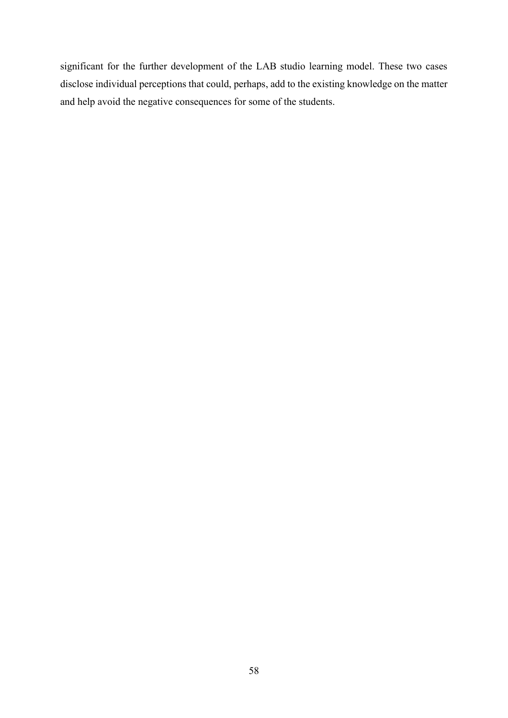significant for the further development of the LAB studio learning model. These two cases disclose individual perceptions that could, perhaps, add to the existing knowledge on the matter and help avoid the negative consequences for some of the students.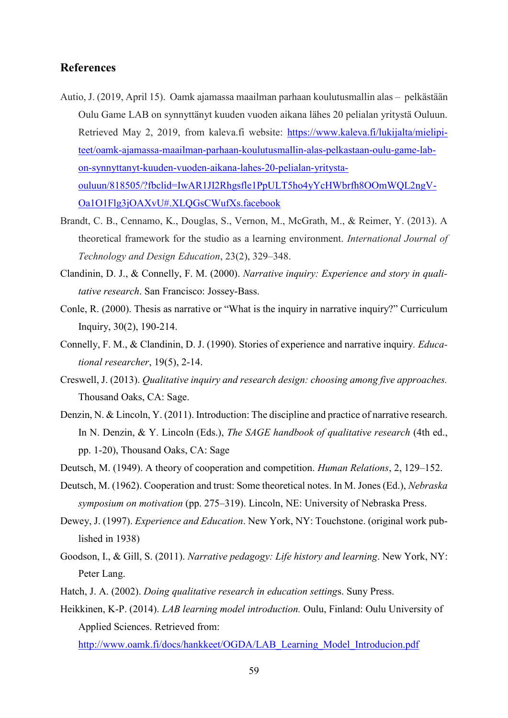## <span id="page-58-0"></span>**References**

- Autio, J. (2019, April 15). Oamk ajamassa maailman parhaan koulutusmallin alas  pelkästään Oulu Game LAB on synnyttänyt kuuden vuoden aikana lähes 20 pelialan yritystä Ouluun. Retrieved May 2, 2019, from kaleva.fi website: [https://www.kaleva.fi/lukijalta/mielipi](https://www.kaleva.fi/lukijalta/mielipiteet/oamk-ajamassa-maailman-parhaan-koulutusmallin-alas-pelkastaan-oulu-game-lab-on-synnyttanyt-kuuden-vuoden-aikana-lahes-20-pelialan-yritysta-ouluun/818505/?fbclid=IwAR1JI2Rhgsfle1PpULT5ho4yYcHWbrfh8OOmWQL2ngV-Oa1O1Flg3jOAXvU#.XLQGsCWufXs.facebook)[teet/oamk-ajamassa-maailman-parhaan-koulutusmallin-alas-pelkastaan-oulu-game-lab](https://www.kaleva.fi/lukijalta/mielipiteet/oamk-ajamassa-maailman-parhaan-koulutusmallin-alas-pelkastaan-oulu-game-lab-on-synnyttanyt-kuuden-vuoden-aikana-lahes-20-pelialan-yritysta-ouluun/818505/?fbclid=IwAR1JI2Rhgsfle1PpULT5ho4yYcHWbrfh8OOmWQL2ngV-Oa1O1Flg3jOAXvU#.XLQGsCWufXs.facebook)[on-synnyttanyt-kuuden-vuoden-aikana-lahes-20-pelialan-yritysta](https://www.kaleva.fi/lukijalta/mielipiteet/oamk-ajamassa-maailman-parhaan-koulutusmallin-alas-pelkastaan-oulu-game-lab-on-synnyttanyt-kuuden-vuoden-aikana-lahes-20-pelialan-yritysta-ouluun/818505/?fbclid=IwAR1JI2Rhgsfle1PpULT5ho4yYcHWbrfh8OOmWQL2ngV-Oa1O1Flg3jOAXvU#.XLQGsCWufXs.facebook)[ouluun/818505/?fbclid=IwAR1JI2Rhgsfle1PpULT5ho4yYcHWbrfh8OOmWQL2ngV-](https://www.kaleva.fi/lukijalta/mielipiteet/oamk-ajamassa-maailman-parhaan-koulutusmallin-alas-pelkastaan-oulu-game-lab-on-synnyttanyt-kuuden-vuoden-aikana-lahes-20-pelialan-yritysta-ouluun/818505/?fbclid=IwAR1JI2Rhgsfle1PpULT5ho4yYcHWbrfh8OOmWQL2ngV-Oa1O1Flg3jOAXvU#.XLQGsCWufXs.facebook)[Oa1O1Flg3jOAXvU#.XLQGsCWufXs.facebook](https://www.kaleva.fi/lukijalta/mielipiteet/oamk-ajamassa-maailman-parhaan-koulutusmallin-alas-pelkastaan-oulu-game-lab-on-synnyttanyt-kuuden-vuoden-aikana-lahes-20-pelialan-yritysta-ouluun/818505/?fbclid=IwAR1JI2Rhgsfle1PpULT5ho4yYcHWbrfh8OOmWQL2ngV-Oa1O1Flg3jOAXvU#.XLQGsCWufXs.facebook)
- Brandt, C. B., Cennamo, K., Douglas, S., Vernon, M., McGrath, M., & Reimer, Y. (2013). A theoretical framework for the studio as a learning environment. *International Journal of Technology and Design Education*, 23(2), 329–348.
- Clandinin, D. J., & Connelly, F. M. (2000). *Narrative inquiry: Experience and story in qualitative research*. San Francisco: Jossey-Bass.
- Conle, R. (2000). Thesis as narrative or "What is the inquiry in narrative inquiry?" Curriculum Inquiry, 30(2), 190-214.
- Connelly, F. M., & Clandinin, D. J. (1990). Stories of experience and narrative inquiry*. Educational researcher*, 19(5), 2-14.
- Creswell, J. (2013). *Qualitative inquiry and research design: choosing among five approaches.* Thousand Oaks, CA: Sage.
- Denzin, N. & Lincoln, Y. (2011). Introduction: The discipline and practice of narrative research. In N. Denzin, & Y. Lincoln (Eds.), *The SAGE handbook of qualitative research* (4th ed., pp. 1-20), Thousand Oaks, CA: Sage
- Deutsch, M. (1949). A theory of cooperation and competition. *Human Relations*, 2, 129–152.
- Deutsch, M. (1962). Cooperation and trust: Some theoretical notes. In M. Jones (Ed.), *Nebraska symposium on motivation* (pp. 275–319). Lincoln, NE: University of Nebraska Press.
- Dewey, J. (1997). *Experience and Education*. New York, NY: Touchstone. (original work published in 1938)
- Goodson, I., & Gill, S. (2011). *Narrative pedagogy: Life history and learning*. New York, NY: Peter Lang.
- Hatch, J. A. (2002). *Doing qualitative research in education setting*s. Suny Press.
- Heikkinen, K-P. (2014). *LAB learning model introduction.* Oulu, Finland: Oulu University of Applied Sciences. Retrieved from:

[http://www.oamk.fi/docs/hankkeet/OGDA/LAB\\_Learning\\_Model\\_Introducion.pdf](http://www.oamk.fi/docs/hankkeet/OGDA/LAB_Learning_Model_Introducion.pdf)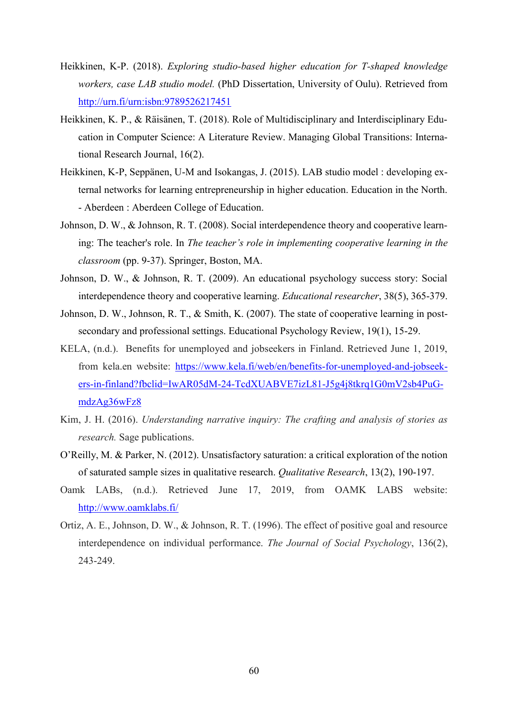- Heikkinen, K-P. (2018). *Exploring studio-based higher education for T-shaped knowledge workers, case LAB studio model.* (PhD Dissertation, University of Oulu). Retrieved from <http://urn.fi/urn:isbn:9789526217451>
- Heikkinen, K. P., & Räisänen, T. (2018). Role of Multidisciplinary and Interdisciplinary Education in Computer Science: A Literature Review. Managing Global Transitions: International Research Journal, 16(2).
- Heikkinen, K-P, Seppänen, U-M and Isokangas, J. (2015). LAB studio model : developing external networks for learning entrepreneurship in higher education. Education in the North. - Aberdeen : Aberdeen College of Education.
- Johnson, D. W., & Johnson, R. T. (2008). Social interdependence theory and cooperative learning: The teacher's role. In *The teacher's role in implementing cooperative learning in the classroom* (pp. 9-37). Springer, Boston, MA.
- Johnson, D. W., & Johnson, R. T. (2009). An educational psychology success story: Social interdependence theory and cooperative learning. *Educational researcher*, 38(5), 365-379.
- Johnson, D. W., Johnson, R. T., & Smith, K. (2007). The state of cooperative learning in postsecondary and professional settings. Educational Psychology Review, 19(1), 15-29.
- KELA, (n.d.). Benefits for unemployed and jobseekers in Finland. Retrieved June 1, 2019, from kela.en website: [https://www.kela.fi/web/en/benefits-for-unemployed-and-jobseek](https://www.kela.fi/web/en/benefits-for-unemployed-and-jobseekers-in-finland?fbclid=IwAR05dM-24-TcdXUABVE7izL81-J5g4j8tkrq1G0mV2sb4PuGmdzAg36wFz8)[ers-in-finland?fbclid=IwAR05dM-24-TcdXUABVE7izL81-J5g4j8tkrq1G0mV2sb4PuG](https://www.kela.fi/web/en/benefits-for-unemployed-and-jobseekers-in-finland?fbclid=IwAR05dM-24-TcdXUABVE7izL81-J5g4j8tkrq1G0mV2sb4PuGmdzAg36wFz8)[mdzAg36wFz8](https://www.kela.fi/web/en/benefits-for-unemployed-and-jobseekers-in-finland?fbclid=IwAR05dM-24-TcdXUABVE7izL81-J5g4j8tkrq1G0mV2sb4PuGmdzAg36wFz8)
- Kim, J. H. (2016). *Understanding narrative inquiry: The crafting and analysis of stories as research.* Sage publications.
- O'Reilly, M. & Parker, N. (2012). Unsatisfactory saturation: a critical exploration of the notion of saturated sample sizes in qualitative research. *Qualitative Research*, 13(2), 190-197.
- Oamk LABs, (n.d.). Retrieved June 17, 2019, from OAMK LABS website: <http://www.oamklabs.fi/>
- Ortiz, A. E., Johnson, D. W., & Johnson, R. T. (1996). The effect of positive goal and resource interdependence on individual performance. *The Journal of Social Psychology*, 136(2), 243-249.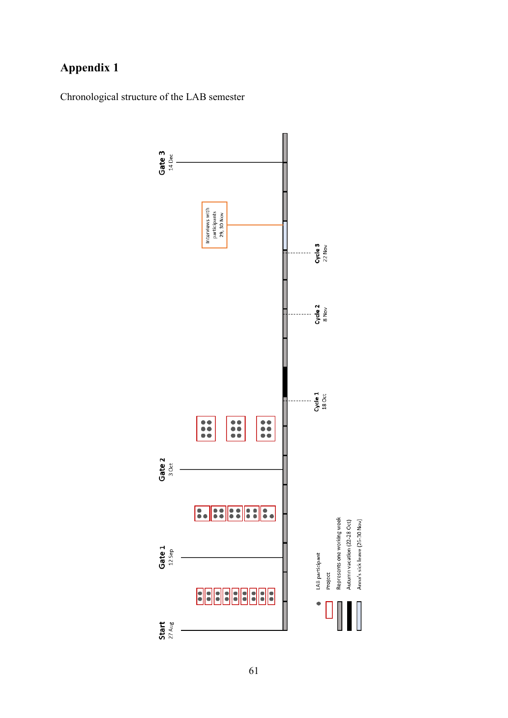# **Appendix 1**

Chronological structure of the LAB semester

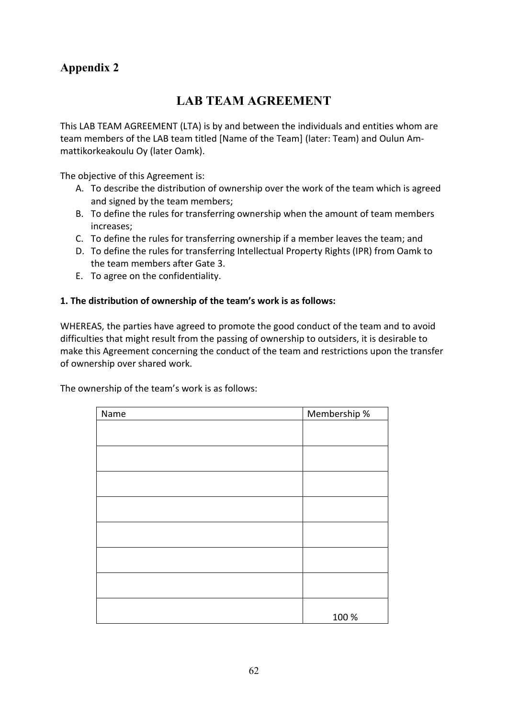# **Appendix 2**

# **LAB TEAM AGREEMENT**

This LAB TEAM AGREEMENT (LTA) is by and between the individuals and entities whom are team members of the LAB team titled [Name of the Team] (later: Team) and Oulun Ammattikorkeakoulu Oy (later Oamk).

The objective of this Agreement is:

- A. To describe the distribution of ownership over the work of the team which is agreed and signed by the team members;
- B. To define the rules for transferring ownership when the amount of team members increases;
- C. To define the rules for transferring ownership if a member leaves the team; and
- D. To define the rules for transferring Intellectual Property Rights (IPR) from Oamk to the team members after Gate 3.
- E. To agree on the confidentiality.

## **1. The distribution of ownership of the team's work is as follows:**

WHEREAS, the parties have agreed to promote the good conduct of the team and to avoid difficulties that might result from the passing of ownership to outsiders, it is desirable to make this Agreement concerning the conduct of the team and restrictions upon the transfer of ownership over shared work.

The ownership of the team's work is as follows:

| Name | Membership % |
|------|--------------|
|      |              |
|      |              |
|      |              |
|      |              |
|      |              |
|      |              |
|      |              |
|      |              |
|      |              |
|      |              |
|      |              |
|      |              |
|      |              |
|      |              |
|      |              |
|      | 100 %        |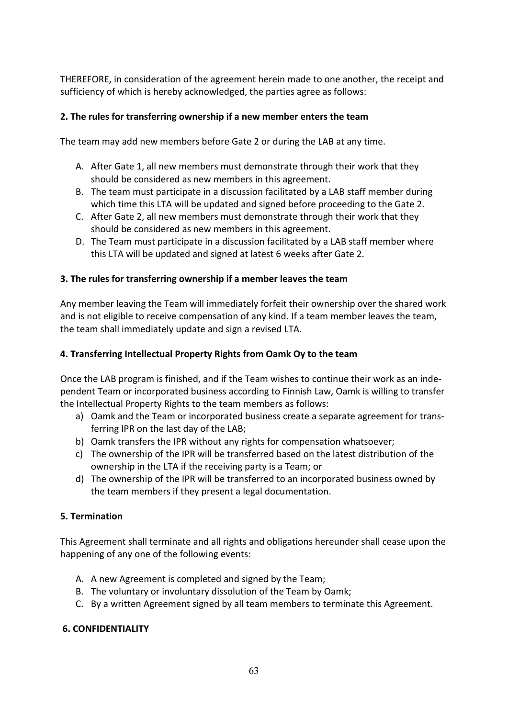THEREFORE, in consideration of the agreement herein made to one another, the receipt and sufficiency of which is hereby acknowledged, the parties agree as follows:

## **2. The rules for transferring ownership if a new member enters the team**

The team may add new members before Gate 2 or during the LAB at any time.

- A. After Gate 1, all new members must demonstrate through their work that they should be considered as new members in this agreement.
- B. The team must participate in a discussion facilitated by a LAB staff member during which time this LTA will be updated and signed before proceeding to the Gate 2.
- C. After Gate 2, all new members must demonstrate through their work that they should be considered as new members in this agreement.
- D. The Team must participate in a discussion facilitated by a LAB staff member where this LTA will be updated and signed at latest 6 weeks after Gate 2.

## **3. The rules for transferring ownership if a member leaves the team**

Any member leaving the Team will immediately forfeit their ownership over the shared work and is not eligible to receive compensation of any kind. If a team member leaves the team, the team shall immediately update and sign a revised LTA.

## **4. Transferring Intellectual Property Rights from Oamk Oy to the team**

Once the LAB program is finished, and if the Team wishes to continue their work as an independent Team or incorporated business according to Finnish Law, Oamk is willing to transfer the Intellectual Property Rights to the team members as follows:

- a) Oamk and the Team or incorporated business create a separate agreement for transferring IPR on the last day of the LAB;
- b) Oamk transfers the IPR without any rights for compensation whatsoever;
- c) The ownership of the IPR will be transferred based on the latest distribution of the ownership in the LTA if the receiving party is a Team; or
- d) The ownership of the IPR will be transferred to an incorporated business owned by the team members if they present a legal documentation.

## **5. Termination**

This Agreement shall terminate and all rights and obligations hereunder shall cease upon the happening of any one of the following events:

- A. A new Agreement is completed and signed by the Team;
- B. The voluntary or involuntary dissolution of the Team by Oamk;
- C. By a written Agreement signed by all team members to terminate this Agreement.

## **6. CONFIDENTIALITY**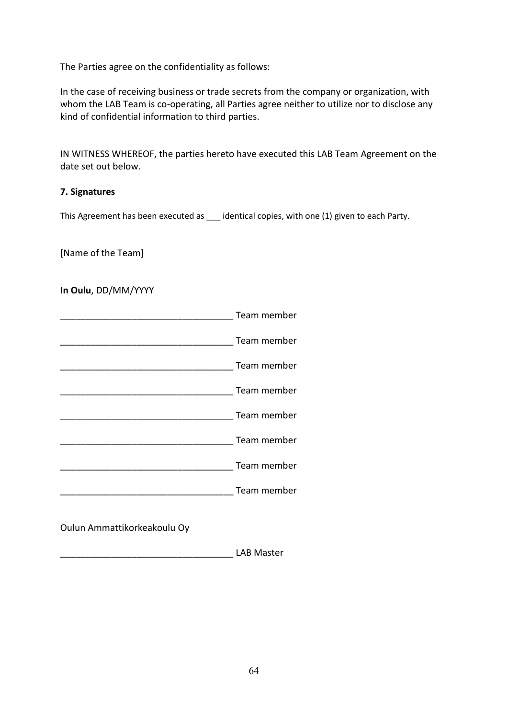The Parties agree on the confidentiality as follows:

In the case of receiving business or trade secrets from the company or organization, with whom the LAB Team is co-operating, all Parties agree neither to utilize nor to disclose any kind of confidential information to third parties.

IN WITNESS WHEREOF, the parties hereto have executed this LAB Team Agreement on the date set out below.

## **7. Signatures**

This Agreement has been executed as \_\_\_ identical copies, with one (1) given to each Party.

[Name of the Team]

**In Oulu**, DD/MM/YYYY

| Team member |
|-------------|
| Team member |
| Team member |
| Team member |
| Team member |
| Team member |
| Team member |
| Team member |
|             |

Oulun Ammattikorkeakoulu Oy

\_\_\_\_\_\_\_\_\_\_\_\_\_\_\_\_\_\_\_\_\_\_\_\_\_\_\_\_\_\_\_\_\_\_ LAB Master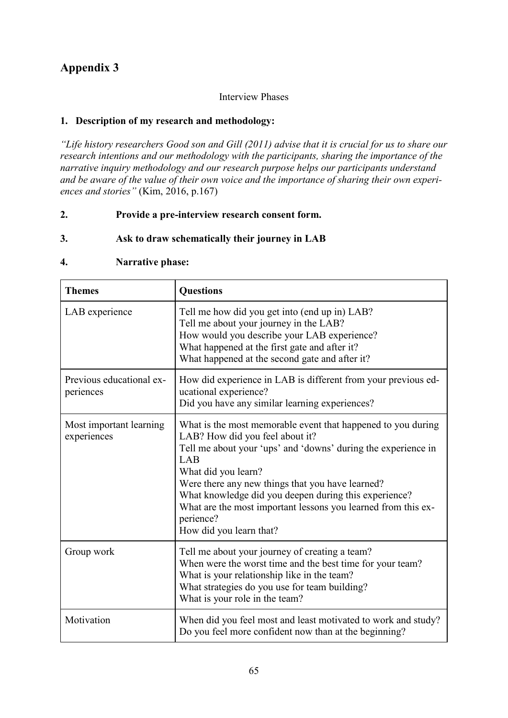# **Appendix 3**

## Interview Phases

## **1. Description of my research and methodology:**

*"Life history researchers Good son and Gill (2011) advise that it is crucial for us to share our research intentions and our methodology with the participants, sharing the importance of the narrative inquiry methodology and our research purpose helps our participants understand and be aware of the value of their own voice and the importance of sharing their own experiences and stories"* (Kim, 2016, p.167)

## **2. Provide a pre-interview research consent form.**

## **3. Ask to draw schematically their journey in LAB**

## **4. Narrative phase:**

| <b>Themes</b>                          | <b>Questions</b>                                                                                                                                                                                                                                                                                                                                                                                                     |  |  |
|----------------------------------------|----------------------------------------------------------------------------------------------------------------------------------------------------------------------------------------------------------------------------------------------------------------------------------------------------------------------------------------------------------------------------------------------------------------------|--|--|
| LAB experience                         | Tell me how did you get into (end up in) LAB?<br>Tell me about your journey in the LAB?<br>How would you describe your LAB experience?<br>What happened at the first gate and after it?<br>What happened at the second gate and after it?                                                                                                                                                                            |  |  |
| Previous educational ex-<br>periences  | How did experience in LAB is different from your previous ed-<br>ucational experience?<br>Did you have any similar learning experiences?                                                                                                                                                                                                                                                                             |  |  |
| Most important learning<br>experiences | What is the most memorable event that happened to you during<br>LAB? How did you feel about it?<br>Tell me about your 'ups' and 'downs' during the experience in<br>LAB<br>What did you learn?<br>Were there any new things that you have learned?<br>What knowledge did you deepen during this experience?<br>What are the most important lessons you learned from this ex-<br>perience?<br>How did you learn that? |  |  |
| Group work                             | Tell me about your journey of creating a team?<br>When were the worst time and the best time for your team?<br>What is your relationship like in the team?<br>What strategies do you use for team building?<br>What is your role in the team?                                                                                                                                                                        |  |  |
| Motivation                             | When did you feel most and least motivated to work and study?<br>Do you feel more confident now than at the beginning?                                                                                                                                                                                                                                                                                               |  |  |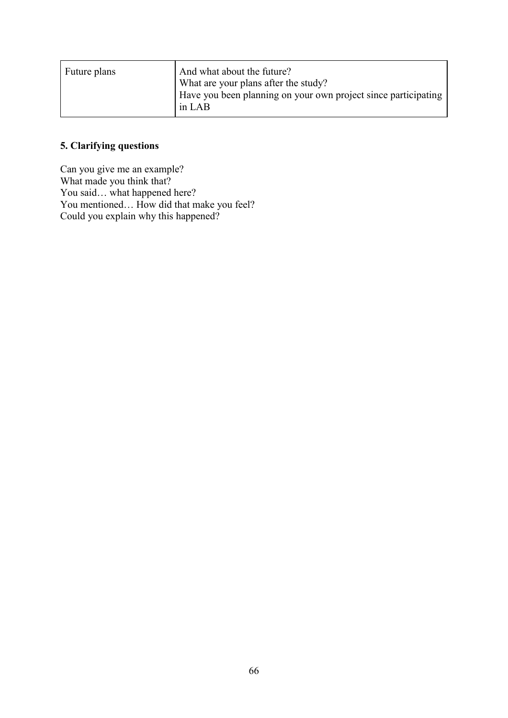| Future plans | And what about the future?<br>What are your plans after the study?       |
|--------------|--------------------------------------------------------------------------|
|              | Have you been planning on your own project since participating<br>in LAB |

## **5. Clarifying questions**

Can you give me an example? What made you think that? You said… what happened here? You mentioned… How did that make you feel? Could you explain why this happened?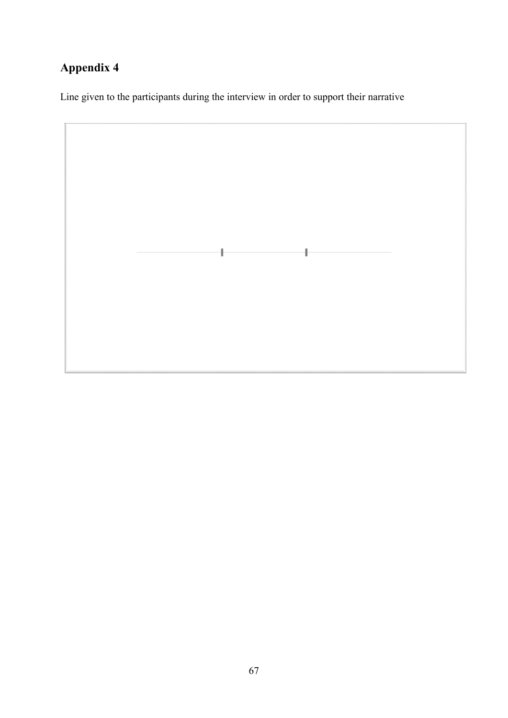# **Appendix 4**

Line given to the participants during the interview in order to support their narrative

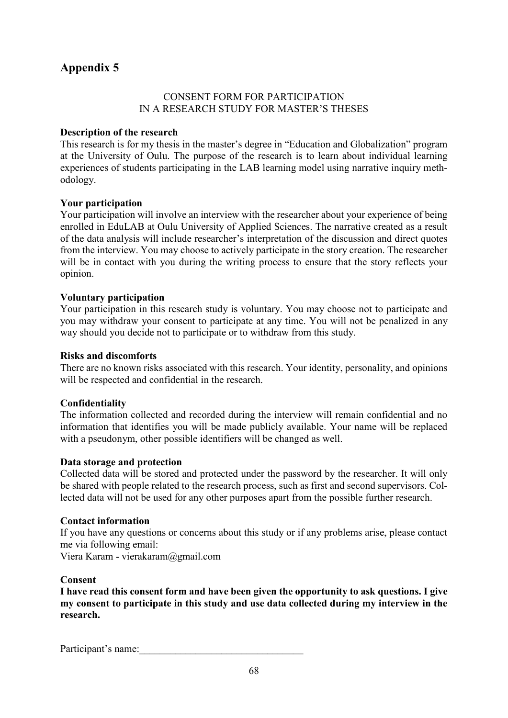## **Appendix 5**

## CONSENT FORM FOR PARTICIPATION IN A RESEARCH STUDY FOR MASTER'S THESES

## **Description of the research**

This research is for my thesis in the master's degree in "Education and Globalization" program at the University of Oulu. The purpose of the research is to learn about individual learning experiences of students participating in the LAB learning model using narrative inquiry methodology.

## **Your participation**

Your participation will involve an interview with the researcher about your experience of being enrolled in EduLAB at Oulu University of Applied Sciences. The narrative created as a result of the data analysis will include researcher's interpretation of the discussion and direct quotes from the interview. You may choose to actively participate in the story creation. The researcher will be in contact with you during the writing process to ensure that the story reflects your opinion.

## **Voluntary participation**

Your participation in this research study is voluntary. You may choose not to participate and you may withdraw your consent to participate at any time. You will not be penalized in any way should you decide not to participate or to withdraw from this study.

## **Risks and discomforts**

There are no known risks associated with this research. Your identity, personality, and opinions will be respected and confidential in the research.

## **Confidentiality**

The information collected and recorded during the interview will remain confidential and no information that identifies you will be made publicly available. Your name will be replaced with a pseudonym, other possible identifiers will be changed as well.

## **Data storage and protection**

Collected data will be stored and protected under the password by the researcher. It will only be shared with people related to the research process, such as first and second supervisors. Collected data will not be used for any other purposes apart from the possible further research.

## **Contact information**

If you have any questions or concerns about this study or if any problems arise, please contact me via following email:

Viera Karam - vierakaram@gmail.com

## **Consent**

**I have read this consent form and have been given the opportunity to ask questions. I give my consent to participate in this study and use data collected during my interview in the research.**

Participant's name: